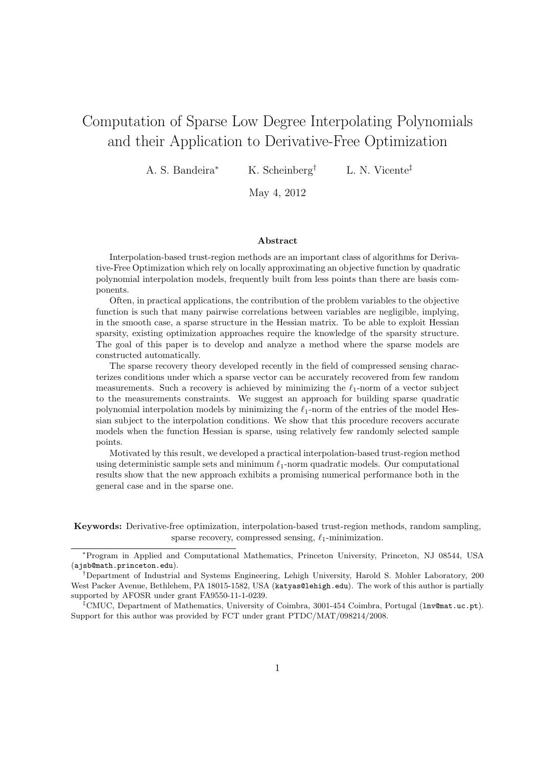# Computation of Sparse Low Degree Interpolating Polynomials and their Application to Derivative-Free Optimization

A. S. Bandeira*<sup>∗</sup>* K. Scheinberg*†* L. N. Vicente*‡*

May 4, 2012

#### **Abstract**

Interpolation-based trust-region methods are an important class of algorithms for Derivative-Free Optimization which rely on locally approximating an objective function by quadratic polynomial interpolation models, frequently built from less points than there are basis components.

Often, in practical applications, the contribution of the problem variables to the objective function is such that many pairwise correlations between variables are negligible, implying, in the smooth case, a sparse structure in the Hessian matrix. To be able to exploit Hessian sparsity, existing optimization approaches require the knowledge of the sparsity structure. The goal of this paper is to develop and analyze a method where the sparse models are constructed automatically.

The sparse recovery theory developed recently in the field of compressed sensing characterizes conditions under which a sparse vector can be accurately recovered from few random measurements. Such a recovery is achieved by minimizing the *ℓ*1-norm of a vector subject to the measurements constraints. We suggest an approach for building sparse quadratic polynomial interpolation models by minimizing the *ℓ*1-norm of the entries of the model Hessian subject to the interpolation conditions. We show that this procedure recovers accurate models when the function Hessian is sparse, using relatively few randomly selected sample points.

Motivated by this result, we developed a practical interpolation-based trust-region method using deterministic sample sets and minimum *ℓ*1-norm quadratic models. Our computational results show that the new approach exhibits a promising numerical performance both in the general case and in the sparse one.

**Keywords:** Derivative-free optimization, interpolation-based trust-region methods, random sampling, sparse recovery, compressed sensing, *ℓ*1-minimization.

*<sup>∗</sup>*Program in Applied and Computational Mathematics, Princeton University, Princeton, NJ 08544, USA (ajsb@math.princeton.edu).

*<sup>†</sup>*Department of Industrial and Systems Engineering, Lehigh University, Harold S. Mohler Laboratory, 200 West Packer Avenue, Bethlehem, PA 18015-1582, USA (katyas@lehigh.edu). The work of this author is partially supported by AFOSR under grant FA9550-11-1-0239.

*<sup>‡</sup>*CMUC, Department of Mathematics, University of Coimbra, 3001-454 Coimbra, Portugal (lnv@mat.uc.pt). Support for this author was provided by FCT under grant PTDC/MAT/098214/2008.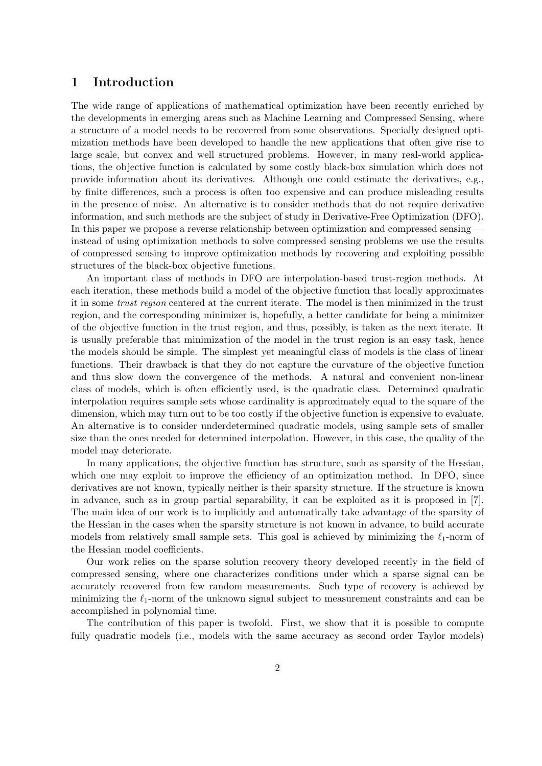# **1 Introduction**

The wide range of applications of mathematical optimization have been recently enriched by the developments in emerging areas such as Machine Learning and Compressed Sensing, where a structure of a model needs to be recovered from some observations. Specially designed optimization methods have been developed to handle the new applications that often give rise to large scale, but convex and well structured problems. However, in many real-world applications, the objective function is calculated by some costly black-box simulation which does not provide information about its derivatives. Although one could estimate the derivatives, e.g., by finite differences, such a process is often too expensive and can produce misleading results in the presence of noise. An alternative is to consider methods that do not require derivative information, and such methods are the subject of study in Derivative-Free Optimization (DFO). In this paper we propose a reverse relationship between optimization and compressed sensing instead of using optimization methods to solve compressed sensing problems we use the results of compressed sensing to improve optimization methods by recovering and exploiting possible structures of the black-box objective functions.

An important class of methods in DFO are interpolation-based trust-region methods. At each iteration, these methods build a model of the objective function that locally approximates it in some *trust region* centered at the current iterate. The model is then minimized in the trust region, and the corresponding minimizer is, hopefully, a better candidate for being a minimizer of the objective function in the trust region, and thus, possibly, is taken as the next iterate. It is usually preferable that minimization of the model in the trust region is an easy task, hence the models should be simple. The simplest yet meaningful class of models is the class of linear functions. Their drawback is that they do not capture the curvature of the objective function and thus slow down the convergence of the methods. A natural and convenient non-linear class of models, which is often efficiently used, is the quadratic class. Determined quadratic interpolation requires sample sets whose cardinality is approximately equal to the square of the dimension, which may turn out to be too costly if the objective function is expensive to evaluate. An alternative is to consider underdetermined quadratic models, using sample sets of smaller size than the ones needed for determined interpolation. However, in this case, the quality of the model may deteriorate.

In many applications, the objective function has structure, such as sparsity of the Hessian, which one may exploit to improve the efficiency of an optimization method. In DFO, since derivatives are not known, typically neither is their sparsity structure. If the structure is known in advance, such as in group partial separability, it can be exploited as it is proposed in [7]. The main idea of our work is to implicitly and automatically take advantage of the sparsity of the Hessian in the cases when the sparsity structure is not known in advance, to build accurate models from relatively small sample sets. This goal is achieved by minimizing the *ℓ*1-norm of the Hessian model coefficients.

Our work relies on the sparse solution recovery theory developed recently in the field of compressed sensing, where one characterizes conditions under which a sparse signal can be accurately recovered from few random measurements. Such type of recovery is achieved by minimizing the *ℓ*1-norm of the unknown signal subject to measurement constraints and can be accomplished in polynomial time.

The contribution of this paper is twofold. First, we show that it is possible to compute fully quadratic models (i.e., models with the same accuracy as second order Taylor models)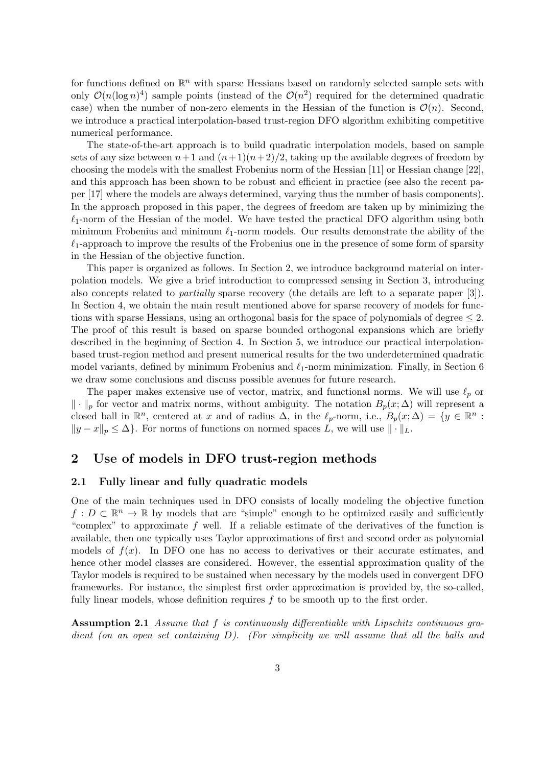for functions defined on  $\mathbb{R}^n$  with sparse Hessians based on randomly selected sample sets with only  $\mathcal{O}(n(\log n)^4)$  sample points (instead of the  $\mathcal{O}(n^2)$  required for the determined quadratic case) when the number of non-zero elements in the Hessian of the function is  $\mathcal{O}(n)$ . Second, we introduce a practical interpolation-based trust-region DFO algorithm exhibiting competitive numerical performance.

The state-of-the-art approach is to build quadratic interpolation models, based on sample sets of any size between  $n+1$  and  $(n+1)(n+2)/2$ , taking up the available degrees of freedom by choosing the models with the smallest Frobenius norm of the Hessian [11] or Hessian change [22], and this approach has been shown to be robust and efficient in practice (see also the recent paper [17] where the models are always determined, varying thus the number of basis components). In the approach proposed in this paper, the degrees of freedom are taken up by minimizing the  $\ell_1$ -norm of the Hessian of the model. We have tested the practical DFO algorithm using both minimum Frobenius and minimum *ℓ*1-norm models. Our results demonstrate the ability of the  $\ell_1$ -approach to improve the results of the Frobenius one in the presence of some form of sparsity in the Hessian of the objective function.

This paper is organized as follows. In Section 2, we introduce background material on interpolation models. We give a brief introduction to compressed sensing in Section 3, introducing also concepts related to *partially* sparse recovery (the details are left to a separate paper [3]). In Section 4, we obtain the main result mentioned above for sparse recovery of models for functions with sparse Hessians, using an orthogonal basis for the space of polynomials of degree *≤* 2. The proof of this result is based on sparse bounded orthogonal expansions which are briefly described in the beginning of Section 4. In Section 5, we introduce our practical interpolationbased trust-region method and present numerical results for the two underdetermined quadratic model variants, defined by minimum Frobenius and *ℓ*1-norm minimization. Finally, in Section 6 we draw some conclusions and discuss possible avenues for future research.

The paper makes extensive use of vector, matrix, and functional norms. We will use  $\ell_p$  or *∥ · ∥<sup>p</sup>* for vector and matrix norms, without ambiguity. The notation *Bp*(*x*; ∆) will represent a closed ball in  $\mathbb{R}^n$ , centered at *x* and of radius  $\Delta$ , in the  $\ell_p$ -norm, i.e.,  $B_p(x; \Delta) = \{y \in \mathbb{R}^n :$  $||y - x||_p \leq \Delta$ . For norms of functions on normed spaces *L*, we will use  $|| \cdot ||_L$ .

# **2 Use of models in DFO trust-region methods**

# **2.1 Fully linear and fully quadratic models**

One of the main techniques used in DFO consists of locally modeling the objective function  $f: D \subset \mathbb{R}^n \to \mathbb{R}$  by models that are "simple" enough to be optimized easily and sufficiently "complex" to approximate *f* well. If a reliable estimate of the derivatives of the function is available, then one typically uses Taylor approximations of first and second order as polynomial models of  $f(x)$ . In DFO one has no access to derivatives or their accurate estimates, and hence other model classes are considered. However, the essential approximation quality of the Taylor models is required to be sustained when necessary by the models used in convergent DFO frameworks. For instance, the simplest first order approximation is provided by, the so-called, fully linear models, whose definition requires *f* to be smooth up to the first order.

**Assumption 2.1** *Assume that f is continuously differentiable with Lipschitz continuous gradient (on an open set containing D). (For simplicity we will assume that all the balls and*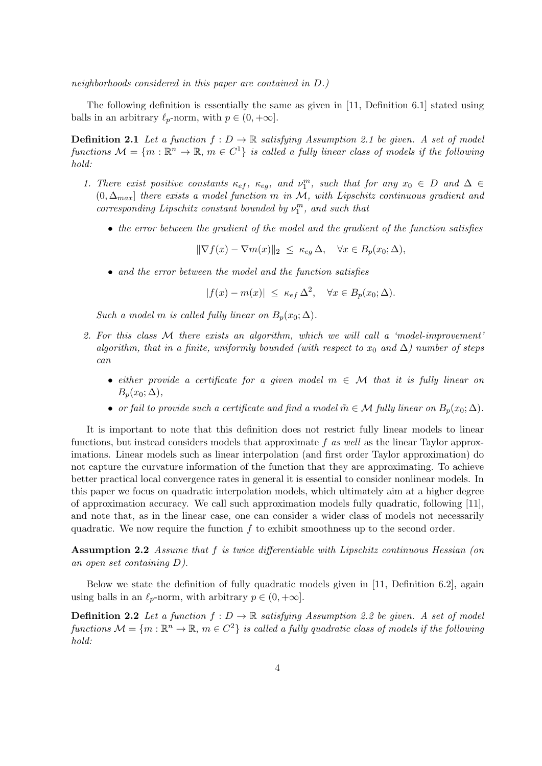*neighborhoods considered in this paper are contained in D.)*

The following definition is essentially the same as given in [11, Definition 6.1] stated using balls in an arbitrary  $\ell_p$ -norm, with  $p \in (0, +\infty]$ .

**Definition 2.1** Let a function  $f: D \to \mathbb{R}$  satisfying Assumption 2.1 be given. A set of model  $functions \mathcal{M} = \{m : \mathbb{R}^n \to \mathbb{R}, m \in C^1\}$  *is called a fully linear class of models if the following hold:*

- *1. There exist positive constants*  $\kappa_{ef}$ ,  $\kappa_{eg}$ , and  $\nu_1^m$ , such that for any  $x_0 \in D$  and  $\Delta \in$ (0*,* ∆*max*] *there exists a model function m in M, with Lipschitz continuous gradient and corresponding Lipschitz constant bounded by ν m* 1 *, and such that*
	- *• the error between the gradient of the model and the gradient of the function satisfies*

*∣* $|\nabla f(x) - \nabla m(x)|_2 \leq \kappa_{eq} \Delta, \quad \forall x \in B_n(x_0; \Delta),$ 

*• and the error between the model and the function satisfies*

 $|f(x) - m(x)| \leq \kappa_{ef} \Delta^2$ ,  $\forall x \in B_p(x_0; \Delta)$ .

*Such a model m is called fully linear on*  $B_p(x_0; \Delta)$ *.* 

- *2. For this class M there exists an algorithm, which we will call a 'model-improvement' algorithm, that in a finite, uniformly bounded (with respect to*  $x_0$  *and*  $\Delta$ ) *number of steps can*
	- *• either provide a certificate for a given model m ∈ M that it is fully linear on*  $B_p(x_0; \Delta)$
	- *or fail to provide such a certificate and find a model*  $\tilde{m} \in \mathcal{M}$  *fully linear on*  $B_p(x_0; \Delta)$ *.*

It is important to note that this definition does not restrict fully linear models to linear functions, but instead considers models that approximate *f as well* as the linear Taylor approximations. Linear models such as linear interpolation (and first order Taylor approximation) do not capture the curvature information of the function that they are approximating. To achieve better practical local convergence rates in general it is essential to consider nonlinear models. In this paper we focus on quadratic interpolation models, which ultimately aim at a higher degree of approximation accuracy. We call such approximation models fully quadratic, following [11], and note that, as in the linear case, one can consider a wider class of models not necessarily quadratic. We now require the function *f* to exhibit smoothness up to the second order.

**Assumption 2.2** *Assume that f is twice differentiable with Lipschitz continuous Hessian (on an open set containing D).*

Below we state the definition of fully quadratic models given in [11, Definition 6.2], again using balls in an  $\ell_p$ -norm, with arbitrary  $p \in (0, +\infty]$ .

**Definition 2.2** Let a function  $f: D \to \mathbb{R}$  satisfying Assumption 2.2 be given. A set of model  $functions \mathcal{M} = \{m : \mathbb{R}^n \to \mathbb{R}, m \in C^2\}$  *is called a fully quadratic class of models if the following hold:*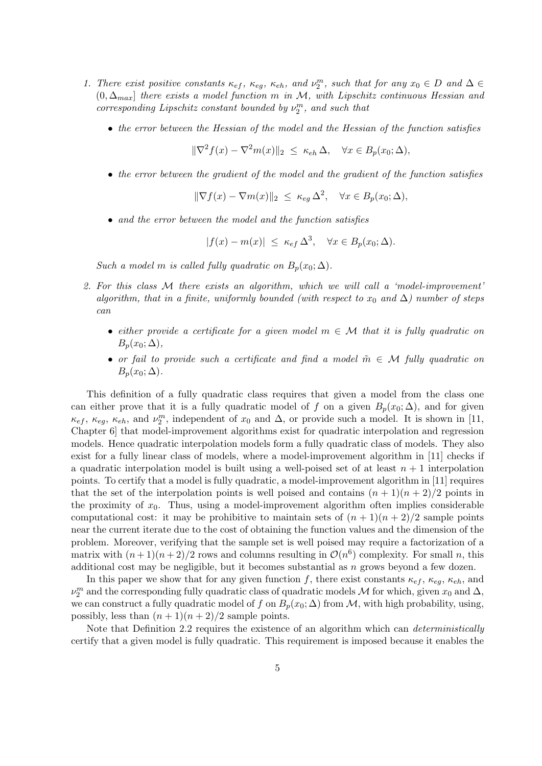- 1. There exist positive constants  $\kappa_{ef}$ ,  $\kappa_{eg}$ ,  $\kappa_{eh}$ , and  $\nu_2^m$ , such that for any  $x_0 \in D$  and  $\Delta \in$ (0*,* ∆*max*] *there exists a model function m in M, with Lipschitz continuous Hessian and corresponding Lipschitz constant bounded by ν m* 2 *, and such that*
	- *• the error between the Hessian of the model and the Hessian of the function satisfies*

$$
\|\nabla^2 f(x) - \nabla^2 m(x)\|_2 \le \kappa_{eh} \,\Delta, \quad \forall x \in B_p(x_0; \Delta),
$$

*• the error between the gradient of the model and the gradient of the function satisfies*

 $\|\nabla f(x) - \nabla m(x)\|_2 \leq \kappa_{eg} \Delta^2$ ,  $\forall x \in B_p(x_0; \Delta)$ *,* 

*• and the error between the model and the function satisfies*

$$
|f(x) - m(x)| \le \kappa_{ef} \Delta^3, \quad \forall x \in B_p(x_0; \Delta).
$$

*Such a model m is called fully quadratic on*  $B_p(x_0; \Delta)$ .

- *2. For this class M there exists an algorithm, which we will call a 'model-improvement' algorithm, that in a finite, uniformly bounded (with respect to*  $x_0$  *and*  $\Delta$ ) *number of steps can*
	- *• either provide a certificate for a given model m ∈ M that it is fully quadratic on*  $B_p(x_0; \Delta)$ ,
	- *• or fail to provide such a certificate and find a model m*˜ *∈ M fully quadratic on*  $B_p(x_0; \Delta)$ .

This definition of a fully quadratic class requires that given a model from the class one can either prove that it is a fully quadratic model of *f* on a given  $B_p(x_0; \Delta)$ , and for given  $\kappa_{ef}$ ,  $\kappa_{eg}$ ,  $\kappa_{eh}$ , and  $\nu_2^m$ , independent of  $x_0$  and  $\Delta$ , or provide such a model. It is shown in [11, Chapter 6] that model-improvement algorithms exist for quadratic interpolation and regression models. Hence quadratic interpolation models form a fully quadratic class of models. They also exist for a fully linear class of models, where a model-improvement algorithm in [11] checks if a quadratic interpolation model is built using a well-poised set of at least  $n + 1$  interpolation points. To certify that a model is fully quadratic, a model-improvement algorithm in [11] requires that the set of the interpolation points is well poised and contains  $(n+1)(n+2)/2$  points in the proximity of *x*0. Thus, using a model-improvement algorithm often implies considerable computational cost: it may be prohibitive to maintain sets of  $(n+1)(n+2)/2$  sample points near the current iterate due to the cost of obtaining the function values and the dimension of the problem. Moreover, verifying that the sample set is well poised may require a factorization of a matrix with  $(n+1)(n+2)/2$  rows and columns resulting in  $\mathcal{O}(n^6)$  complexity. For small *n*, this additional cost may be negligible, but it becomes substantial as *n* grows beyond a few dozen.

In this paper we show that for any given function *f*, there exist constants  $\kappa_{ef}$ ,  $\kappa_{eg}$ ,  $\kappa_{eh}$ , and  $\nu_2^m$  and the corresponding fully quadratic class of quadratic models  $\mathcal M$  for which, given  $x_0$  and  $\Delta$ , we can construct a fully quadratic model of *f* on  $B_p(x_0; \Delta)$  from *M*, with high probability, using, possibly, less than  $(n+1)(n+2)/2$  sample points.

Note that Definition 2.2 requires the existence of an algorithm which can *deterministically* certify that a given model is fully quadratic. This requirement is imposed because it enables the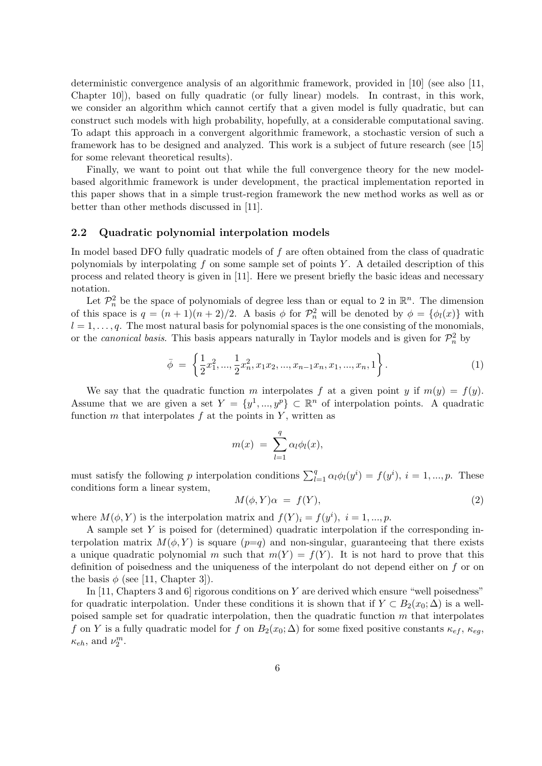deterministic convergence analysis of an algorithmic framework, provided in [10] (see also [11, Chapter 10]), based on fully quadratic (or fully linear) models. In contrast, in this work, we consider an algorithm which cannot certify that a given model is fully quadratic, but can construct such models with high probability, hopefully, at a considerable computational saving. To adapt this approach in a convergent algorithmic framework, a stochastic version of such a framework has to be designed and analyzed. This work is a subject of future research (see [15] for some relevant theoretical results).

Finally, we want to point out that while the full convergence theory for the new modelbased algorithmic framework is under development, the practical implementation reported in this paper shows that in a simple trust-region framework the new method works as well as or better than other methods discussed in [11].

## **2.2 Quadratic polynomial interpolation models**

In model based DFO fully quadratic models of *f* are often obtained from the class of quadratic polynomials by interpolating *f* on some sample set of points *Y* . A detailed description of this process and related theory is given in [11]. Here we present briefly the basic ideas and necessary notation.

Let  $\mathcal{P}_n^2$  be the space of polynomials of degree less than or equal to 2 in  $\mathbb{R}^n$ . The dimension of this space is  $q = (n+1)(n+2)/2$ . A basis  $\phi$  for  $\mathcal{P}_n^2$  will be denoted by  $\phi = {\phi_l(x)}$  with  $l = 1, \ldots, q$ . The most natural basis for polynomial spaces is the one consisting of the monomials, or the *canonical basis*. This basis appears naturally in Taylor models and is given for  $\mathcal{P}_n^2$  by

$$
\bar{\phi} = \left\{ \frac{1}{2} x_1^2, ..., \frac{1}{2} x_n^2, x_1 x_2, ..., x_{n-1} x_n, x_1, ..., x_n, 1 \right\}.
$$
 (1)

We say that the quadratic function *m* interpolates *f* at a given point *y* if  $m(y) = f(y)$ . Assume that we are given a set  $Y = \{y^1, ..., y^p\} \subset \mathbb{R}^n$  of interpolation points. A quadratic function  $m$  that interpolates  $f$  at the points in  $Y$ , written as

$$
m(x) = \sum_{l=1}^{q} \alpha_l \phi_l(x),
$$

must satisfy the following *p* interpolation conditions  $\sum_{l=1}^{q} \alpha_l \phi_l(y^i) = f(y^i), i = 1, ..., p$ . These conditions form a linear system,

$$
M(\phi, Y)\alpha = f(Y),\tag{2}
$$

where  $M(\phi, Y)$  is the interpolation matrix and  $f(Y)_i = f(y^i)$ ,  $i = 1, ..., p$ .

A sample set *Y* is poised for (determined) quadratic interpolation if the corresponding interpolation matrix  $M(\phi, Y)$  is square  $(p=q)$  and non-singular, guaranteeing that there exists a unique quadratic polynomial *m* such that  $m(Y) = f(Y)$ . It is not hard to prove that this definition of poisedness and the uniqueness of the interpolant do not depend either on *f* or on the basis  $\phi$  (see [11, Chapter 3]).

In [11, Chapters 3 and 6] rigorous conditions on *Y* are derived which ensure "well poisedness" for quadratic interpolation. Under these conditions it is shown that if  $Y \subset B_2(x_0; \Delta)$  is a wellpoised sample set for quadratic interpolation, then the quadratic function *m* that interpolates *f* on *Y* is a fully quadratic model for *f* on  $B_2(x_0; \Delta)$  for some fixed positive constants  $\kappa_{ef}$ ,  $\kappa_{eg}$ ,  $\kappa_{eh}$ , and  $\nu_2^m$ .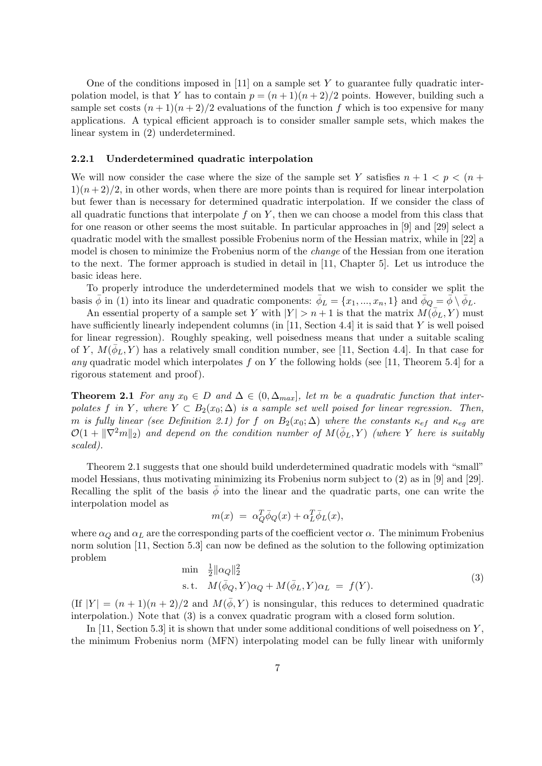One of the conditions imposed in [11] on a sample set *Y* to guarantee fully quadratic interpolation model, is that *Y* has to contain  $p = (n+1)(n+2)/2$  points. However, building such a sample set costs  $(n+1)(n+2)/2$  evaluations of the function f which is too expensive for many applications. A typical efficient approach is to consider smaller sample sets, which makes the linear system in (2) underdetermined.

#### **2.2.1 Underdetermined quadratic interpolation**

We will now consider the case where the size of the sample set Y satisfies  $n + 1 < p < (n + 1)$  $1(n+2)/2$ , in other words, when there are more points than is required for linear interpolation but fewer than is necessary for determined quadratic interpolation. If we consider the class of all quadratic functions that interpolate  $f$  on  $Y$ , then we can choose a model from this class that for one reason or other seems the most suitable. In particular approaches in [9] and [29] select a quadratic model with the smallest possible Frobenius norm of the Hessian matrix, while in [22] a model is chosen to minimize the Frobenius norm of the *change* of the Hessian from one iteration to the next. The former approach is studied in detail in [11, Chapter 5]. Let us introduce the basic ideas here.

To properly introduce the underdetermined models that we wish to consider we split the basis  $\phi$  in (1) into its linear and quadratic components:  $\phi_L = \{x_1, ..., x_n, 1\}$  and  $\phi_Q = \phi \setminus \phi_L$ .

An essential property of a sample set *Y* with  $|Y| > n + 1$  is that the matrix  $M(\bar{\phi}_L, Y)$  must have sufficiently linearly independent columns (in [11, Section 4.4] it is said that *Y* is well poised for linear regression). Roughly speaking, well poisedness means that under a suitable scaling of *Y*,  $M(\bar{\phi}_L, Y)$  has a relatively small condition number, see [11, Section 4.4]. In that case for *any* quadratic model which interpolates *f* on *Y* the following holds (see [11, Theorem 5.4] for a rigorous statement and proof).

**Theorem 2.1** *For any*  $x_0 \in D$  *and*  $\Delta \in (0, \Delta_{max}]$ *, let m be a quadratic function that interpolates f* in *Y*, where  $Y \subset B_2(x_0; \Delta)$  *is a sample set well poised for linear regression. Then, m is fully linear (see Definition 2.1) for <i>f on*  $B_2(x_0; \Delta)$  *where the constants*  $\kappa_{ef}$  *and*  $\kappa_{eg}$  *are*  $\mathcal{O}(1 + \|\nabla^2 m\|_2)$  and depend on the condition number of  $M(\bar{\phi}_L, Y)$  (where *Y* here is suitably *scaled).*

Theorem 2.1 suggests that one should build underdetermined quadratic models with "small" model Hessians, thus motivating minimizing its Frobenius norm subject to (2) as in [9] and [29]. Recalling the split of the basis  $\bar{\phi}$  into the linear and the quadratic parts, one can write the interpolation model as

$$
m(x) = \alpha_Q^T \overline{\phi}_Q(x) + \alpha_L^T \overline{\phi}_L(x),
$$

where  $\alpha_Q$  and  $\alpha_L$  are the corresponding parts of the coefficient vector  $\alpha$ . The minimum Frobenius norm solution [11, Section 5.3] can now be defined as the solution to the following optimization problem

$$
\min \frac{1}{2} ||\alpha_Q||_2^2
$$
  
s.t. 
$$
M(\bar{\phi}_Q, Y)\alpha_Q + M(\bar{\phi}_L, Y)\alpha_L = f(Y).
$$
 (3)

 $(H | Y | = (n + 1)(n + 2)/2$  and  $M(\bar{\phi}, Y)$  is nonsingular, this reduces to determined quadratic interpolation.) Note that (3) is a convex quadratic program with a closed form solution.

In [11, Section 5.3] it is shown that under some additional conditions of well poisedness on *Y* , the minimum Frobenius norm (MFN) interpolating model can be fully linear with uniformly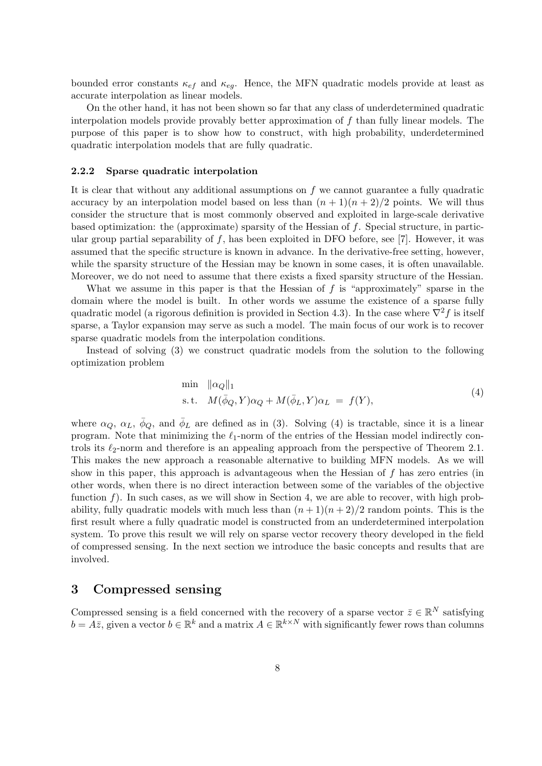bounded error constants  $\kappa_{ef}$  and  $\kappa_{eg}$ . Hence, the MFN quadratic models provide at least as accurate interpolation as linear models.

On the other hand, it has not been shown so far that any class of underdetermined quadratic interpolation models provide provably better approximation of *f* than fully linear models. The purpose of this paper is to show how to construct, with high probability, underdetermined quadratic interpolation models that are fully quadratic.

#### **2.2.2 Sparse quadratic interpolation**

It is clear that without any additional assumptions on *f* we cannot guarantee a fully quadratic accuracy by an interpolation model based on less than  $(n+1)(n+2)/2$  points. We will thus consider the structure that is most commonly observed and exploited in large-scale derivative based optimization: the (approximate) sparsity of the Hessian of *f*. Special structure, in particular group partial separability of *f*, has been exploited in DFO before, see [7]. However, it was assumed that the specific structure is known in advance. In the derivative-free setting, however, while the sparsity structure of the Hessian may be known in some cases, it is often unavailable. Moreover, we do not need to assume that there exists a fixed sparsity structure of the Hessian.

What we assume in this paper is that the Hessian of *f* is "approximately" sparse in the domain where the model is built. In other words we assume the existence of a sparse fully quadratic model (a rigorous definition is provided in Section 4.3). In the case where  $\nabla^2 f$  is itself sparse, a Taylor expansion may serve as such a model. The main focus of our work is to recover sparse quadratic models from the interpolation conditions.

Instead of solving (3) we construct quadratic models from the solution to the following optimization problem

$$
\min \quad \|\alpha_Q\|_1
$$
\n
$$
\text{s.t.} \quad M(\bar{\phi}_Q, Y)\alpha_Q + M(\bar{\phi}_L, Y)\alpha_L = f(Y), \tag{4}
$$

where  $\alpha_Q$ ,  $\alpha_L$ ,  $\bar{\phi}_Q$ , and  $\bar{\phi}_L$  are defined as in (3). Solving (4) is tractable, since it is a linear program. Note that minimizing the *ℓ*1-norm of the entries of the Hessian model indirectly controls its *ℓ*2-norm and therefore is an appealing approach from the perspective of Theorem 2.1. This makes the new approach a reasonable alternative to building MFN models. As we will show in this paper, this approach is advantageous when the Hessian of *f* has zero entries (in other words, when there is no direct interaction between some of the variables of the objective function f). In such cases, as we will show in Section 4, we are able to recover, with high probability, fully quadratic models with much less than  $(n+1)(n+2)/2$  random points. This is the first result where a fully quadratic model is constructed from an underdetermined interpolation system. To prove this result we will rely on sparse vector recovery theory developed in the field of compressed sensing. In the next section we introduce the basic concepts and results that are involved.

# **3 Compressed sensing**

Compressed sensing is a field concerned with the recovery of a sparse vector  $\bar{z} \in \mathbb{R}^N$  satisfying  $b = A\bar{z}$ , given a vector  $b \in \mathbb{R}^k$  and a matrix  $A \in \mathbb{R}^{k \times N}$  with significantly fewer rows than columns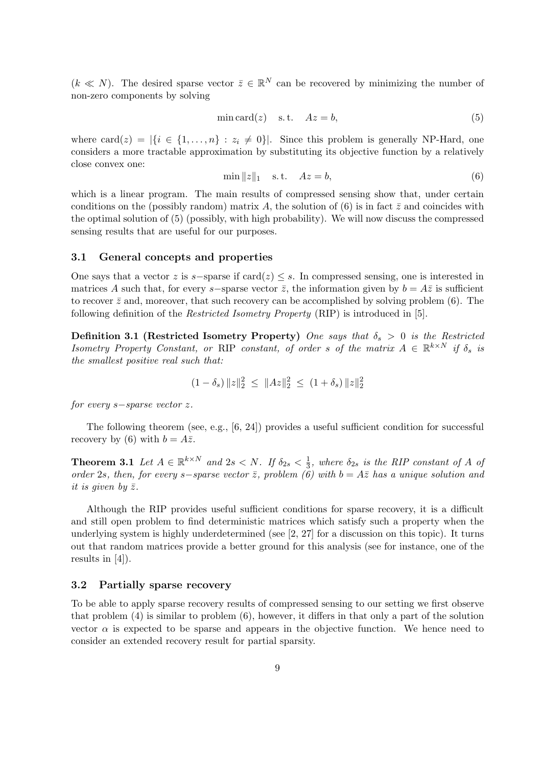$(k \ll N)$ . The desired sparse vector  $\bar{z} \in \mathbb{R}^N$  can be recovered by minimizing the number of non-zero components by solving

$$
\min \operatorname{card}(z) \quad \text{s.t.} \quad Az = b,\tag{5}
$$

where card(*z*) =  $|\{i \in \{1, ..., n\} : z_i \neq 0\}|$ . Since this problem is generally NP-Hard, one considers a more tractable approximation by substituting its objective function by a relatively close convex one:

$$
\min \|z\|_1 \quad \text{s.t.} \quad Az = b,\tag{6}
$$

which is a linear program. The main results of compressed sensing show that, under certain conditions on the (possibly random) matrix A, the solution of (6) is in fact  $\bar{z}$  and coincides with the optimal solution of (5) (possibly, with high probability). We will now discuss the compressed sensing results that are useful for our purposes.

#### **3.1 General concepts and properties**

One says that a vector *z* is *s*−sparse if card(*z*)  $\leq$  *s*. In compressed sensing, one is interested in matrices *A* such that, for every *s*−sparse vector  $\overline{z}$ , the information given by  $b = A\overline{z}$  is sufficient to recover  $\bar{z}$  and, moreover, that such recovery can be accomplished by solving problem (6). The following definition of the *Restricted Isometry Property* (RIP) is introduced in [5].

**Definition 3.1 (Restricted Isometry Property)** *One says that*  $\delta_s > 0$  *is the Restricted Isometry Property Constant, or* RIP *constant, of order s of the matrix*  $A \in \mathbb{R}^{k \times N}$  *if*  $\delta_s$  *is the smallest positive real such that:*

$$
(1 - \delta_s) \|z\|_2^2 \le \|Az\|_2^2 \le (1 + \delta_s) \|z\|_2^2
$$

*for every s−sparse vector z.*

The following theorem (see, e.g., [6, 24]) provides a useful sufficient condition for successful recovery by (6) with  $b = A\overline{z}$ .

**Theorem 3.1** *Let*  $A \in \mathbb{R}^{k \times N}$  *and*  $2s < N$ *. If*  $\delta_{2s} < \frac{1}{3}$  $\frac{1}{3}$ , where  $\delta_{2s}$  *is the RIP constant of A of order* 2*s*, then, for every *s*−*sparse vector*  $\overline{z}$ , problem (6) with  $b = A\overline{z}$  has a unique solution and *it is given by*  $\bar{z}$ *.* 

Although the RIP provides useful sufficient conditions for sparse recovery, it is a difficult and still open problem to find deterministic matrices which satisfy such a property when the underlying system is highly underdetermined (see [2, 27] for a discussion on this topic). It turns out that random matrices provide a better ground for this analysis (see for instance, one of the results in [4]).

### **3.2 Partially sparse recovery**

To be able to apply sparse recovery results of compressed sensing to our setting we first observe that problem (4) is similar to problem (6), however, it differs in that only a part of the solution vector  $\alpha$  is expected to be sparse and appears in the objective function. We hence need to consider an extended recovery result for partial sparsity.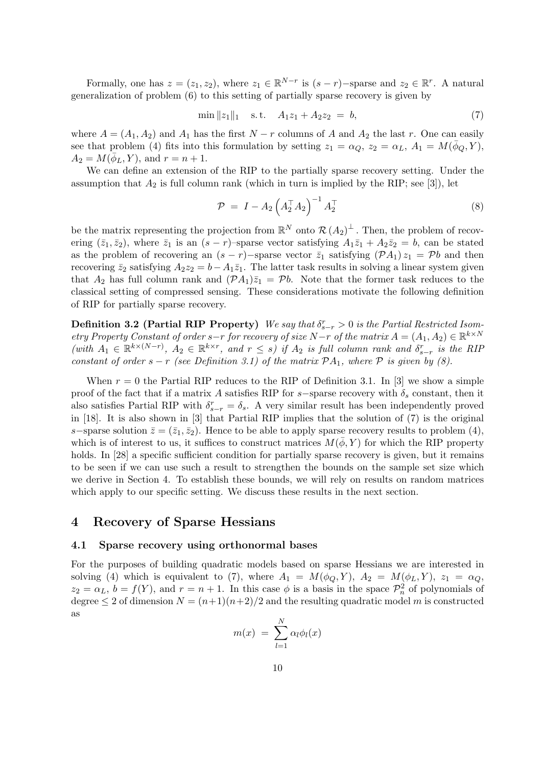Formally, one has  $z = (z_1, z_2)$ , where  $z_1 \in \mathbb{R}^{N-r}$  is  $(s - r)$ –sparse and  $z_2 \in \mathbb{R}^r$ . A natural generalization of problem (6) to this setting of partially sparse recovery is given by

$$
\min \|z_1\|_1 \quad \text{s.t.} \quad A_1 z_1 + A_2 z_2 = b,\tag{7}
$$

where  $A = (A_1, A_2)$  and  $A_1$  has the first  $N - r$  columns of  $A$  and  $A_2$  the last  $r$ . One can easily see that problem (4) fits into this formulation by setting  $z_1 = \alpha_Q$ ,  $z_2 = \alpha_L$ ,  $A_1 = M(\bar{\phi}_Q, Y)$ ,  $A_2 = M(\bar{\phi}_L, Y)$ , and  $r = n + 1$ .

We can define an extension of the RIP to the partially sparse recovery setting. Under the assumption that  $A_2$  is full column rank (which in turn is implied by the RIP; see [3]), let

$$
\mathcal{P} = I - A_2 \left( A_2^{\top} A_2 \right)^{-1} A_2^{\top} \tag{8}
$$

be the matrix representing the projection from  $\mathbb{R}^N$  onto  $\mathcal{R}(A_2)^{\perp}$ . Then, the problem of recovering  $(\bar{z}_1, \bar{z}_2)$ , where  $\bar{z}_1$  is an  $(s - r)$ –sparse vector satisfying  $A_1\bar{z}_1 + A_2\bar{z}_2 = b$ , can be stated as the problem of recovering an  $(s - r)$ –sparse vector  $\overline{z}_1$  satisfying  $(\mathcal{P} A_1) z_1 = \mathcal{P} b$  and then recovering  $\bar{z}_2$  satisfying  $A_2z_2 = b - A_1\bar{z}_1$ . The latter task results in solving a linear system given that  $A_2$  has full column rank and  $(\mathcal{P}A_1)\bar{z}_1 = \mathcal{P}b$ . Note that the former task reduces to the classical setting of compressed sensing. These considerations motivate the following definition of RIP for partially sparse recovery.

**Definition 3.2 (Partial RIP Property)** *We say that*  $\delta_{s-r}^r > 0$  *is the Partial Restricted Isometry Property Constant of order*  $s-r$  *for recovery of size*  $N-r$  *of the matrix*  $A = (A_1, A_2) \in \mathbb{R}^{k \times N}$ (with  $A_1 \in \mathbb{R}^{k \times (N-r)}$ ,  $A_2 \in \mathbb{R}^{k \times r}$ , and  $r \leq s$ ) if  $A_2$  is full column rank and  $\delta_{s-r}^r$  is the RIF *constant of order*  $s - r$  *(see Definition 3.1) of the matrix*  $PA_1$ *, where*  $P$  *is given by (8).* 

When  $r = 0$  the Partial RIP reduces to the RIP of Definition 3.1. In [3] we show a simple proof of the fact that if a matrix *A* satisfies RIP for *s*−sparse recovery with  $\delta_s$  constant, then it also satisfies Partial RIP with  $\delta^r_{s-r} = \delta_s$ . A very similar result has been independently proved in [18]. It is also shown in [3] that Partial RIP implies that the solution of (7) is the original *s*−sparse solution  $\bar{z} = (\bar{z}_1, \bar{z}_2)$ . Hence to be able to apply sparse recovery results to problem (4), which is of interest to us, it suffices to construct matrices  $M(\phi, Y)$  for which the RIP property holds. In [28] a specific sufficient condition for partially sparse recovery is given, but it remains to be seen if we can use such a result to strengthen the bounds on the sample set size which we derive in Section 4. To establish these bounds, we will rely on results on random matrices which apply to our specific setting. We discuss these results in the next section.

# **4 Recovery of Sparse Hessians**

### **4.1 Sparse recovery using orthonormal bases**

For the purposes of building quadratic models based on sparse Hessians we are interested in solving (4) which is equivalent to (7), where  $A_1 = M(\phi_Q, Y)$ ,  $A_2 = M(\phi_L, Y)$ ,  $z_1 = \alpha_Q$ ,  $z_2 = \alpha_L$ ,  $b = f(Y)$ , and  $r = n + 1$ . In this case  $\phi$  is a basis in the space  $\mathcal{P}_n^2$  of polynomials of degree  $\leq 2$  of dimension  $N = (n+1)(n+2)/2$  and the resulting quadratic model *m* is constructed as

$$
m(x) = \sum_{l=1}^{N} \alpha_l \phi_l(x)
$$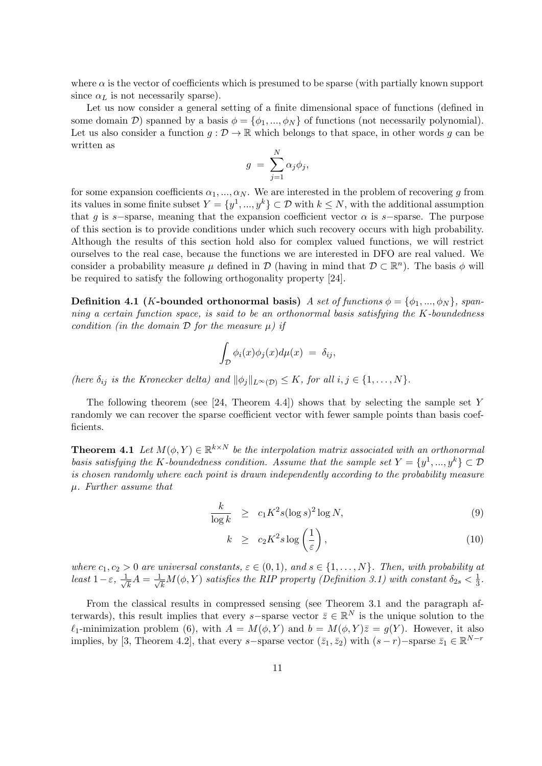where  $\alpha$  is the vector of coefficients which is presumed to be sparse (with partially known support since  $\alpha_L$  is not necessarily sparse).

Let us now consider a general setting of a finite dimensional space of functions (defined in some domain *D*) spanned by a basis  $\phi = {\phi_1, ..., \phi_N}$  of functions (not necessarily polynomial). Let us also consider a function  $g : \mathcal{D} \to \mathbb{R}$  which belongs to that space, in other words *g* can be written as

$$
g = \sum_{j=1}^{N} \alpha_j \phi_j,
$$

for some expansion coefficients  $\alpha_1, ..., \alpha_N$ . We are interested in the problem of recovering *g* from its values in some finite subset  $Y = \{y^1, ..., y^k\} \subset \mathcal{D}$  with  $k \leq N$ , with the additional assumption that *g* is *s*−sparse, meaning that the expansion coefficient vector  $\alpha$  is *s*−sparse. The purpose of this section is to provide conditions under which such recovery occurs with high probability. Although the results of this section hold also for complex valued functions, we will restrict ourselves to the real case, because the functions we are interested in DFO are real valued. We consider a probability measure  $\mu$  defined in  $\mathcal{D}$  (having in mind that  $\mathcal{D} \subset \mathbb{R}^n$ ). The basis  $\phi$  will be required to satisfy the following orthogonality property [24].

**Definition 4.1 (***K***-bounded orthonormal basis)** *A set of functions*  $\phi = {\phi_1, ..., \phi_N}$ , span*ning a certain function space, is said to be an orthonormal basis satisfying the K-boundedness condition (in the domain*  $D$  *for the measure*  $\mu$ ) *if* 

$$
\int_{\mathcal{D}} \phi_i(x) \phi_j(x) d\mu(x) = \delta_{ij},
$$

*(here*  $\delta_{ij}$  *is the Kronecker delta) and*  $||\phi_j||_{L^{\infty}(\mathcal{D})} \leq K$ *, for all*  $i, j \in \{1, \ldots, N\}$ *.* 

The following theorem (see [24, Theorem 4.4]) shows that by selecting the sample set *Y* randomly we can recover the sparse coefficient vector with fewer sample points than basis coefficients.

**Theorem 4.1** *Let*  $M(\phi, Y) \in \mathbb{R}^{k \times N}$  *be the interpolation matrix associated with an orthonormal basis satisfying the K-boundedness condition. Assume that the sample set*  $Y = \{y^1, ..., y^k\} \subset \mathcal{D}$ *is chosen randomly where each point is drawn independently according to the probability measure µ. Further assume that*

$$
\frac{k}{\log k} \ge c_1 K^2 s (\log s)^2 \log N,\tag{9}
$$

$$
k \ge c_2 K^2 s \log\left(\frac{1}{\varepsilon}\right),\tag{10}
$$

*where*  $c_1, c_2 > 0$  *are universal constants,*  $\varepsilon \in (0, 1)$ *, and*  $s \in \{1, \ldots, N\}$ *. Then, with probability at least*  $1 - \varepsilon$ *,*  $\frac{1}{\sqrt{2}}$  $\frac{1}{k}A = \frac{1}{\sqrt{2}}$  $\frac{1}{k}M(\phi, Y)$  *satisfies the RIP property (Definition 3.1) with constant*  $\delta_{2s} < \frac{1}{3}$  $\frac{1}{3}$ .

From the classical results in compressed sensing (see Theorem 3.1 and the paragraph afterwards), this result implies that every *s−*sparse vector ¯*z ∈* R *<sup>N</sup>* is the unique solution to the  $\ell_1$ -minimization problem (6), with  $A = M(\phi, Y)$  and  $b = M(\phi, Y)\overline{z} = g(Y)$ . However, it also implies, by [3, Theorem 4.2], that every *s*−sparse vector  $(\bar{z}_1, \bar{z}_2)$  with  $(s - r)$ −sparse  $\bar{z}_1 \in \mathbb{R}^{N-r}$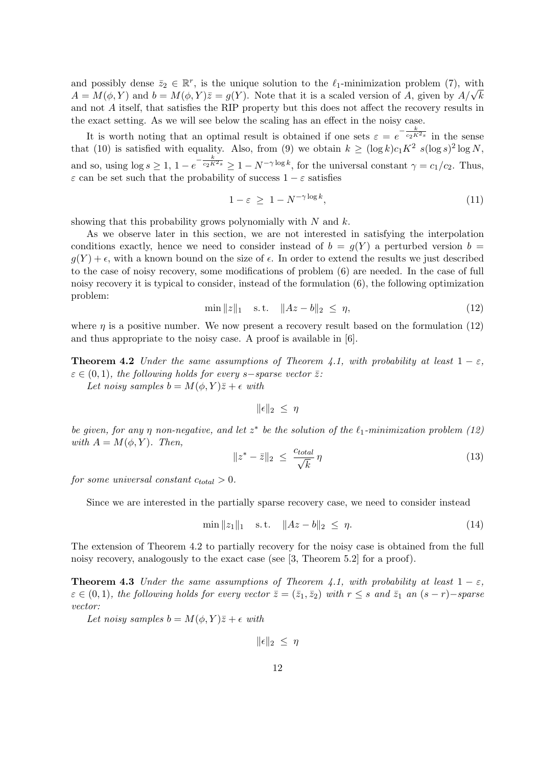and possibly dense  $\bar{z}_2 \in \mathbb{R}^r$ , is the unique solution to the  $\ell_1$ -minimization problem (7), with  $A = M(\phi, Y)$  and  $b = M(\phi, Y)\overline{z} = g(Y)$ . Note that it is a scaled version of *A*, given by  $A/\sqrt{k}$ and not *A* itself, that satisfies the RIP property but this does not affect the recovery results in the exact setting. As we will see below the scaling has an effect in the noisy case.

It is worth noting that an optimal result is obtained if one sets  $\varepsilon = e^{-\frac{k}{c_2 K^2 s}}$  in the sense that (10) is satisfied with equality. Also, from (9) we obtain  $k \geq (\log k)c_1K^2$   $s(\log s)^2 \log N$ , and so, using  $\log s \ge 1$ ,  $1 - e^{-\frac{k}{c_2 K^2 s}} \ge 1 - N^{-\gamma \log k}$ , for the universal constant  $\gamma = c_1/c_2$ . Thus, *ε* can be set such that the probability of success  $1 - \varepsilon$  satisfies

$$
1 - \varepsilon \ge 1 - N^{-\gamma \log k},\tag{11}
$$

showing that this probability grows polynomially with *N* and *k*.

As we observe later in this section, we are not interested in satisfying the interpolation conditions exactly, hence we need to consider instead of  $b = g(Y)$  a perturbed version  $b =$  $g(Y) + \epsilon$ , with a known bound on the size of  $\epsilon$ . In order to extend the results we just described to the case of noisy recovery, some modifications of problem (6) are needed. In the case of full noisy recovery it is typical to consider, instead of the formulation (6), the following optimization problem:

$$
\min \|z\|_1 \quad \text{s.t.} \quad \|Az - b\|_2 \le \eta,\tag{12}
$$

where  $\eta$  is a positive number. We now present a recovery result based on the formulation (12) and thus appropriate to the noisy case. A proof is available in [6].

**Theorem 4.2** *Under the same assumptions of Theorem 4.1, with probability at least*  $1 - \varepsilon$ *,*  $\varepsilon \in (0,1)$ *, the following holds for every s–sparse vector*  $\overline{z}$ *: Let noisy samples*  $b = M(\phi, Y)\overline{z} + \epsilon$  *with* 

*∥ϵ∥*<sup>2</sup> *≤ η*

*be given, for any*  $\eta$  *non-negative, and let*  $z^*$  *be the solution of the*  $\ell_1$ *-minimization problem* (12) *with*  $A = M(\phi, Y)$ *. Then,* 

$$
||z^* - \bar{z}||_2 \le \frac{c_{total}}{\sqrt{k}} \eta \tag{13}
$$

*for some universal constant*  $c_{total} > 0$ *.* 

Since we are interested in the partially sparse recovery case, we need to consider instead

$$
\min \|z_1\|_1 \quad \text{s.t.} \quad \|Az - b\|_2 \le \eta. \tag{14}
$$

The extension of Theorem 4.2 to partially recovery for the noisy case is obtained from the full noisy recovery, analogously to the exact case (see [3, Theorem 5.2] for a proof).

**Theorem 4.3** *Under the same assumptions of Theorem 4.1, with probability at least*  $1 - \varepsilon$ *,*  $\varepsilon \in (0,1)$ , the following holds for every vector  $\overline{z} = (\overline{z}_1, \overline{z}_2)$  with  $r \leq s$  and  $\overline{z}_1$  an  $(s-r)$ -sparse *vector:*

*Let noisy samples*  $b = M(\phi, Y)\overline{z} + \epsilon$  *with* 

*∥ϵ∥*<sup>2</sup> *≤ η*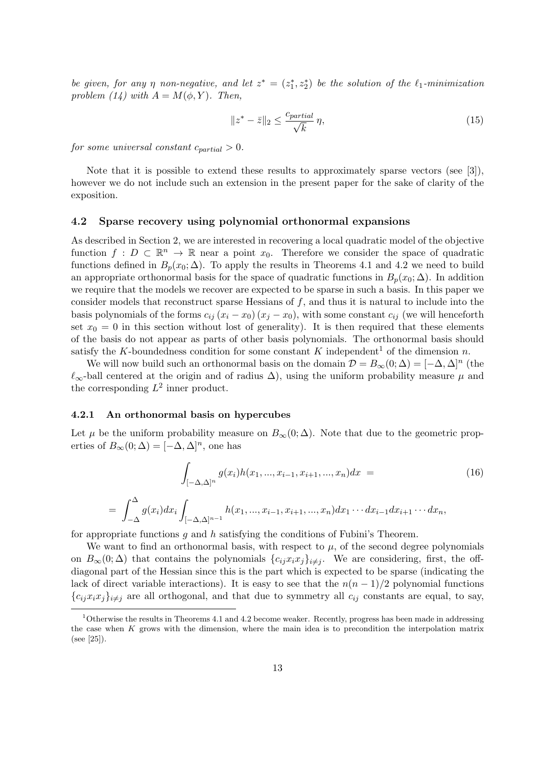*be given, for any η non-negative, and let*  $z^* = (z_1^*, z_2^*)$  *be the solution of the*  $\ell_1$ *-minimization problem* (14) with  $A = M(\phi, Y)$ *. Then,* 

$$
||z^* - \bar{z}||_2 \le \frac{c_{partial}}{\sqrt{k}} \eta,
$$
\n(15)

*for some universal constant*  $c_{partial} > 0$ .

Note that it is possible to extend these results to approximately sparse vectors (see [3]), however we do not include such an extension in the present paper for the sake of clarity of the exposition.

#### **4.2 Sparse recovery using polynomial orthonormal expansions**

As described in Section 2, we are interested in recovering a local quadratic model of the objective function  $f: D \subset \mathbb{R}^n \to \mathbb{R}$  near a point  $x_0$ . Therefore we consider the space of quadratic functions defined in  $B_p(x_0; \Delta)$ . To apply the results in Theorems 4.1 and 4.2 we need to build an appropriate orthonormal basis for the space of quadratic functions in  $B_p(x_0; \Delta)$ . In addition we require that the models we recover are expected to be sparse in such a basis. In this paper we consider models that reconstruct sparse Hessians of *f*, and thus it is natural to include into the basis polynomials of the forms  $c_{ij}(x_i - x_0)(x_j - x_0)$ , with some constant  $c_{ij}$  (we will henceforth set  $x_0 = 0$  in this section without lost of generality). It is then required that these elements of the basis do not appear as parts of other basis polynomials. The orthonormal basis should satisfy the *K*-boundedness condition for some constant *K* independent<sup>1</sup> of the dimension *n*.

We will now build such an orthonormal basis on the domain  $\mathcal{D} = B_{\infty}(0; \Delta) = [-\Delta, \Delta]^n$  (the  $\ell_{\infty}$ -ball centered at the origin and of radius  $\Delta$ ), using the uniform probability measure  $\mu$  and the corresponding  $L^2$  inner product.

#### **4.2.1 An orthonormal basis on hypercubes**

Let  $\mu$  be the uniform probability measure on  $B_{\infty}(0;\Delta)$ . Note that due to the geometric properties of  $B_{\infty}(0; \Delta) = [-\Delta, \Delta]^n$ , one has

$$
\int_{[-\Delta,\Delta]^n} g(x_i)h(x_1,...,x_{i-1},x_{i+1},...,x_n)dx =
$$
\n(16)

$$
= \int_{-\Delta}^{\Delta} g(x_i) dx_i \int_{[-\Delta,\Delta]^{n-1}} h(x_1,...,x_{i-1},x_{i+1},...,x_n) dx_1 \cdots dx_{i-1} dx_{i+1} \cdots dx_n,
$$

for appropriate functions *g* and *h* satisfying the conditions of Fubini's Theorem.

We want to find an orthonormal basis, with respect to  $\mu$ , of the second degree polynomials on  $B_{\infty}(0;\Delta)$  that contains the polynomials  $\{c_{ij}x_ix_j\}_{i\neq j}$ . We are considering, first, the offdiagonal part of the Hessian since this is the part which is expected to be sparse (indicating the lack of direct variable interactions). It is easy to see that the  $n(n-1)/2$  polynomial functions  ${c_i}_i x_i x_j\}_{i\neq j}$  are all orthogonal, and that due to symmetry all  $c_i$  constants are equal, to say,

<sup>&</sup>lt;sup>1</sup>Otherwise the results in Theorems 4.1 and 4.2 become weaker. Recently, progress has been made in addressing the case when *K* grows with the dimension, where the main idea is to precondition the interpolation matrix (see [25]).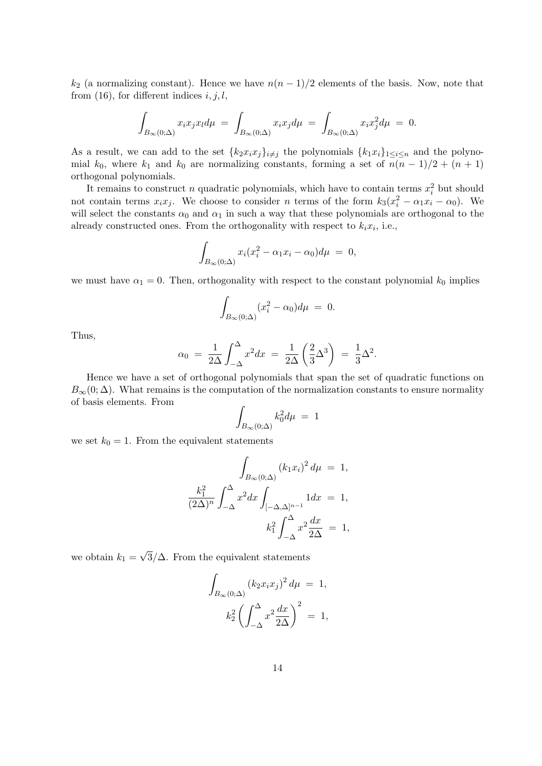$k_2$  (a normalizing constant). Hence we have  $n(n-1)/2$  elements of the basis. Now, note that from  $(16)$ , for different indices  $i, j, l$ ,

$$
\int_{B_{\infty}(0;\Delta)} x_i x_j x_l d\mu = \int_{B_{\infty}(0;\Delta)} x_i x_j d\mu = \int_{B_{\infty}(0;\Delta)} x_i x_j^2 d\mu = 0.
$$

As a result, we can add to the set  $\{k_2 x_i x_j\}_{i \neq j}$  the polynomials  $\{k_1 x_i\}_{1 \leq i \leq n}$  and the polynomial  $k_0$ , where  $k_1$  and  $k_0$  are normalizing constants, forming a set of  $n(n-1)/2 + (n+1)$ orthogonal polynomials.

It remains to construct *n* quadratic polynomials, which have to contain terms  $x_i^2$  but should not contain terms  $x_i x_j$ . We choose to consider *n* terms of the form  $k_3(x_i^2 - \alpha_1 x_i - \alpha_0)$ . We will select the constants  $\alpha_0$  and  $\alpha_1$  in such a way that these polynomials are orthogonal to the already constructed ones. From the orthogonality with respect to  $k_i x_i$ , i.e.,

$$
\int_{B_{\infty}(0;\Delta)} x_i (x_i^2 - \alpha_1 x_i - \alpha_0) d\mu = 0,
$$

we must have  $\alpha_1 = 0$ . Then, orthogonality with respect to the constant polynomial  $k_0$  implies

$$
\int_{B_{\infty}(0;\Delta)} (x_i^2 - \alpha_0) d\mu = 0.
$$

Thus,

$$
\alpha_0 = \frac{1}{2\Delta} \int_{-\Delta}^{\Delta} x^2 dx = \frac{1}{2\Delta} \left( \frac{2}{3} \Delta^3 \right) = \frac{1}{3} \Delta^2.
$$

Hence we have a set of orthogonal polynomials that span the set of quadratic functions on  $B_{\infty}(0;\Delta)$ . What remains is the computation of the normalization constants to ensure normality of basis elements. From

$$
\int_{B_{\infty}(0;\Delta)} k_0^2 d\mu = 1
$$

we set  $k_0 = 1$ . From the equivalent statements

$$
\int_{B_{\infty}(0;\Delta)} (k_{1}x_{i})^{2} d\mu = 1,
$$
\n
$$
\frac{k_{1}^{2}}{(2\Delta)^{n}} \int_{-\Delta}^{\Delta} x^{2} dx \int_{[-\Delta,\Delta]^{n-1}} 1 dx = 1,
$$
\n
$$
k_{1}^{2} \int_{-\Delta}^{\Delta} x^{2} \frac{dx}{2\Delta} = 1,
$$

we obtain  $k_1 =$ *√* 3*/*∆. From the equivalent statements

$$
\int_{B_{\infty}(0;\Delta)} (k_2 x_i x_j)^2 d\mu = 1,
$$
  

$$
k_2^2 \left( \int_{-\Delta}^{\Delta} x^2 \frac{dx}{2\Delta} \right)^2 = 1,
$$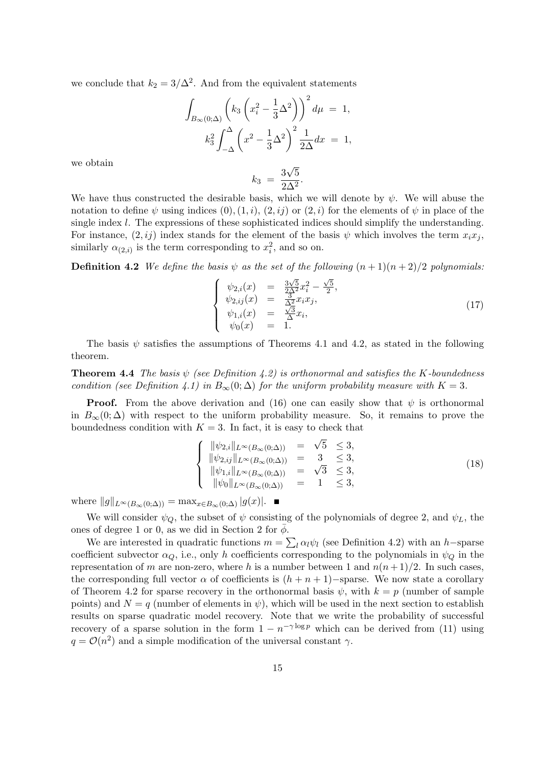we conclude that  $k_2 = 3/\Delta^2$ . And from the equivalent statements

$$
\int_{B_{\infty}(0;\Delta)} \left(k_3\left(x_i^2 - \frac{1}{3}\Delta^2\right)\right)^2 d\mu = 1,
$$
  

$$
k_3^2 \int_{-\Delta}^{\Delta} \left(x^2 - \frac{1}{3}\Delta^2\right)^2 \frac{1}{2\Delta} dx = 1,
$$

we obtain

$$
k_3 = \frac{3\sqrt{5}}{2\Delta^2}.
$$

We have thus constructed the desirable basis, which we will denote by  $\psi$ . We will abuse the notation to define  $\psi$  using indices  $(0), (1, i), (2, ij)$  or  $(2, i)$  for the elements of  $\psi$  in place of the single index *l*. The expressions of these sophisticated indices should simplify the understanding. For instance,  $(2, ij)$  index stands for the element of the basis  $\psi$  which involves the term  $x_i x_j$ , similarly  $\alpha_{(2,i)}$  is the term corresponding to  $x_i^2$ , and so on.

**Definition 4.2** *We define the basis*  $\psi$  *as the set of the following*  $(n+1)(n+2)/2$  *polynomials:* 

$$
\begin{cases}\n\psi_{2,i}(x) = \frac{3\sqrt{5}}{2\Delta^2} x_i^2 - \frac{\sqrt{5}}{2},\\ \n\psi_{2,ij}(x) = \frac{3}{\Delta^2} x_i x_j,\\ \n\psi_{1,i}(x) = \frac{\sqrt{3}}{\Delta} x_i,\\ \n\psi_0(x) = 1.\n\end{cases} \tag{17}
$$

The basis  $\psi$  satisfies the assumptions of Theorems 4.1 and 4.2, as stated in the following theorem.

**Theorem 4.4** *The basis*  $\psi$  *(see Definition 4.2) is orthonormal and satisfies the K*-boundedness *condition (see Definition 4.1) in*  $B_\infty(0;\Delta)$  *for the uniform probability measure with*  $K = 3$ *.* 

**Proof.** From the above derivation and (16) one can easily show that  $\psi$  is orthonormal in  $B_\infty(0;\Delta)$  with respect to the uniform probability measure. So, it remains to prove the boundedness condition with  $K = 3$ . In fact, it is easy to check that

$$
\begin{cases}\n\|\psi_{2,i}\|_{L^{\infty}(B_{\infty}(0;\Delta))} = \sqrt{5} \leq 3, \\
\|\psi_{2,ij}\|_{L^{\infty}(B_{\infty}(0;\Delta))} = 3 \leq 3, \\
\|\psi_{1,i}\|_{L^{\infty}(B_{\infty}(0;\Delta))} = \sqrt{3} \leq 3, \\
\|\psi_{0}\|_{L^{\infty}(B_{\infty}(0;\Delta))} = 1 \leq 3,\n\end{cases}
$$
\n(18)

 $\text{where } ||g||_{L^{\infty}(B_{\infty}(0;\Delta))} = \max_{x \in B_{\infty}(0;\Delta)} |g(x)|.$  ■

We will consider  $\psi_Q$ , the subset of  $\psi$  consisting of the polynomials of degree 2, and  $\psi_L$ , the ones of degree 1 or 0, as we did in Section 2 for  $\phi$ .

We are interested in quadratic functions  $m = \sum_l \alpha_l \psi_l$  (see Definition 4.2) with an *h*-sparse coefficient subvector  $\alpha_Q$ , i.e., only *h* coefficients corresponding to the polynomials in  $\psi_Q$  in the representation of *m* are non-zero, where *h* is a number between 1 and  $n(n+1)/2$ . In such cases, the corresponding full vector  $\alpha$  of coefficients is  $(h + n + 1)$ −sparse. We now state a corollary of Theorem 4.2 for sparse recovery in the orthonormal basis  $\psi$ , with  $k = p$  (number of sample points) and  $N = q$  (number of elements in  $\psi$ ), which will be used in the next section to establish results on sparse quadratic model recovery. Note that we write the probability of successful recovery of a sparse solution in the form  $1 - n^{-\gamma \log p}$  which can be derived from (11) using  $q = \mathcal{O}(n^2)$  and a simple modification of the universal constant *γ*.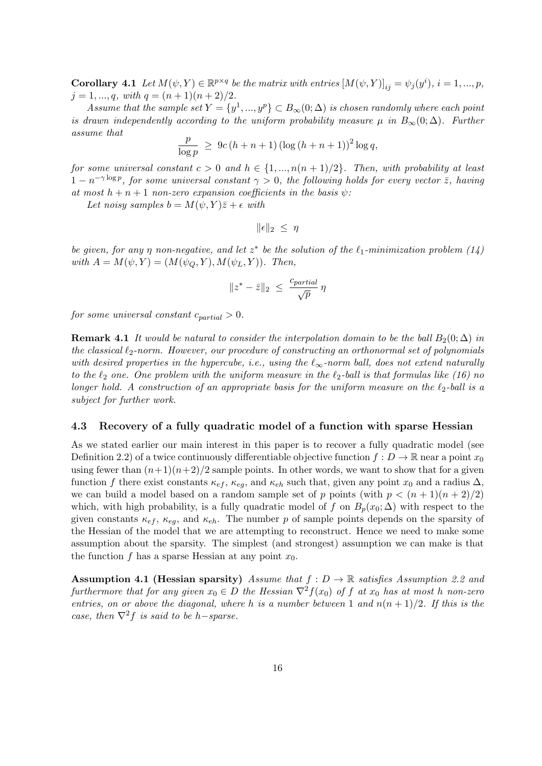**Corollary 4.1** Let  $M(\psi, Y) \in \mathbb{R}^{p \times q}$  be the matrix with entries  $[M(\psi, Y)]_{ij} = \psi_j(y^i), i = 1, ..., p$ ,  $j = 1, ..., q$ *, with*  $q = (n + 1)(n + 2)/2$ .

*Assume that the sample set*  $Y = \{y^1, ..., y^p\} \subset B_\infty(0; \Delta)$  *is chosen randomly where each point is drawn independently according to the uniform probability measure*  $\mu$  *in*  $B_{\infty}(0;\Delta)$ *. Further assume that*

$$
\frac{p}{\log p} \ge 9c (h + n + 1) (\log (h + n + 1))^2 \log q,
$$

*for some universal constant*  $c > 0$  *and*  $h \in \{1, ..., n(n+1)/2\}$ *. Then, with probability at least*  $1 - n^{-\gamma \log p}$ , for some universal constant  $\gamma > 0$ , the following holds for every vector  $\bar{z}$ , having *at most*  $h + n + 1$  *non-zero expansion coefficients in the basis*  $\psi$ :

*Let noisy samples*  $b = M(\psi, Y)\overline{z} + \epsilon$  *with* 

*∥ϵ∥*<sup>2</sup> *≤ η*

*be given, for any*  $\eta$  *non-negative, and let*  $z^*$  *be the solution of the*  $\ell_1$ *-minimization problem* (14)  $with A = M(\psi, Y) = (M(\psi_Q, Y), M(\psi_L, Y))$ *. Then,* 

$$
||z^* - \bar{z}||_2 \ \leq \ \frac{c_{partial}}{\sqrt{p}} \eta
$$

*for some universal constant*  $c_{partial} > 0$ *.* 

**Remark 4.1** *It would be natural to consider the interpolation domain to be the ball*  $B_2(0;\Delta)$  *in the classical ℓ*2*-norm. However, our procedure of constructing an orthonormal set of polynomials with desired properties in the hypercube, i.e., using the*  $\ell_{\infty}$ *-norm ball, does not extend naturally to the ℓ*<sup>2</sup> *one. One problem with the uniform measure in the ℓ*2*-ball is that formulas like (16) no longer hold. A construction of an appropriate basis for the uniform measure on the ℓ*2*-ball is a subject for further work.*

### **4.3 Recovery of a fully quadratic model of a function with sparse Hessian**

As we stated earlier our main interest in this paper is to recover a fully quadratic model (see Definition 2.2) of a twice continuously differentiable objective function  $f: D \to \mathbb{R}$  near a point  $x_0$ using fewer than  $(n+1)(n+2)/2$  sample points. In other words, we want to show that for a given function *f* there exist constants  $\kappa_{ef}$ ,  $\kappa_{eq}$ , and  $\kappa_{eh}$  such that, given any point  $x_0$  and a radius  $\Delta$ , we can build a model based on a random sample set of *p* points (with  $p < (n + 1)(n + 2)/2$ ) which, with high probability, is a fully quadratic model of *f* on  $B_p(x_0; \Delta)$  with respect to the given constants  $\kappa_{ef}$ ,  $\kappa_{eq}$ , and  $\kappa_{eh}$ . The number p of sample points depends on the sparsity of the Hessian of the model that we are attempting to reconstruct. Hence we need to make some assumption about the sparsity. The simplest (and strongest) assumption we can make is that the function  $f$  has a sparse Hessian at any point  $x_0$ .

**Assumption 4.1 (Hessian sparsity)** *Assume that*  $f: D \to \mathbb{R}$  *satisfies Assumption 2.2 and furthermore that for any given*  $x_0 \in D$  *the Hessian*  $\nabla^2 f(x_0)$  *of f at*  $x_0$  *has at most h non-zero entries, on or above the diagonal, where h is a number between* 1 *and*  $n(n+1)/2$ *. If this is the case, then*  $\nabla^2 f$  *is said to be h*−*sparse.*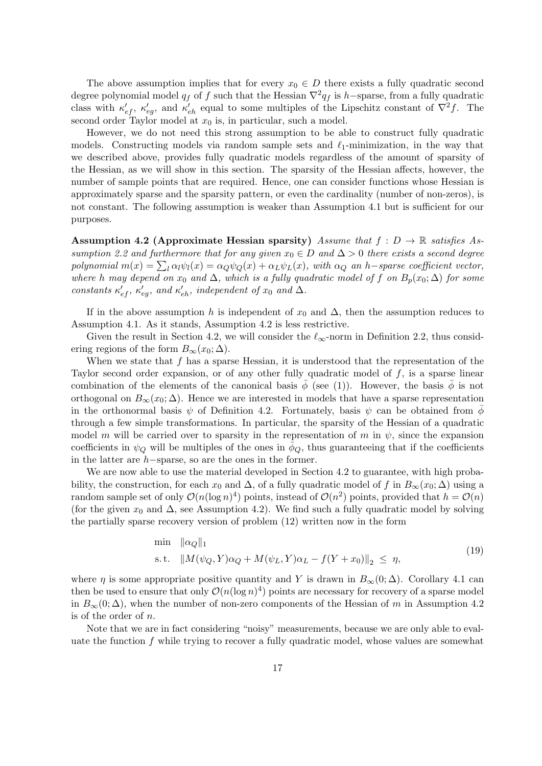The above assumption implies that for every  $x_0 \in D$  there exists a fully quadratic second degree polynomial model *q<sup>f</sup>* of *f* such that the Hessian *∇*<sup>2</sup> *q<sup>f</sup>* is *h−*sparse, from a fully quadratic class with  $\kappa'_{ef}$ ,  $\kappa'_{eg}$ , and  $\kappa'_{eh}$  equal to some multiples of the Lipschitz constant of  $\nabla^2 f$ . The second order Taylor model at  $x_0$  is, in particular, such a model.

However, we do not need this strong assumption to be able to construct fully quadratic models. Constructing models via random sample sets and *ℓ*1-minimization, in the way that we described above, provides fully quadratic models regardless of the amount of sparsity of the Hessian, as we will show in this section. The sparsity of the Hessian affects, however, the number of sample points that are required. Hence, one can consider functions whose Hessian is approximately sparse and the sparsity pattern, or even the cardinality (number of non-zeros), is not constant. The following assumption is weaker than Assumption 4.1 but is sufficient for our purposes.

**Assumption 4.2 (Approximate Hessian sparsity)** *Assume that*  $f: D \to \mathbb{R}$  *satisfies Assumption 2.2 and furthermore that for any given*  $x_0 \in D$  *and*  $\Delta > 0$  *there exists a second degree* polynomial  $m(x) = \sum_l \alpha_l \psi_l(x) = \alpha_Q \psi_Q(x) + \alpha_L \psi_L(x)$ , with  $\alpha_Q$  an h-sparse coefficient vector, *where h may depend on*  $x_0$  *and*  $\Delta$ *, which is a fully quadratic model of f on*  $B_p(x_0; \Delta)$  *for some constants*  $\kappa'_{ef}$ *,*  $\kappa'_{eg}$ *, and*  $\kappa'_{eh}$ *, independent of*  $x_0$  *and*  $\Delta$ *.* 

If in the above assumption *h* is independent of  $x_0$  and  $\Delta$ , then the assumption reduces to Assumption 4.1. As it stands, Assumption 4.2 is less restrictive.

Given the result in Section 4.2, we will consider the  $\ell_{\infty}$ -norm in Definition 2.2, thus considering regions of the form  $B_\infty(x_0; \Delta)$ .

When we state that *f* has a sparse Hessian, it is understood that the representation of the Taylor second order expansion, or of any other fully quadratic model of *f*, is a sparse linear combination of the elements of the canonical basis  $\bar{\phi}$  (see (1)). However, the basis  $\bar{\phi}$  is not orthogonal on  $B_{\infty}(x_0; \Delta)$ . Hence we are interested in models that have a sparse representation in the orthonormal basis  $\psi$  of Definition 4.2. Fortunately, basis  $\psi$  can be obtained from  $\phi$ through a few simple transformations. In particular, the sparsity of the Hessian of a quadratic model *m* will be carried over to sparsity in the representation of *m* in  $\psi$ , since the expansion coefficients in  $\psi_Q$  will be multiples of the ones in  $\phi_Q$ , thus guaranteeing that if the coefficients in the latter are *h−*sparse, so are the ones in the former.

We are now able to use the material developed in Section 4.2 to guarantee, with high probability, the construction, for each  $x_0$  and  $\Delta$ , of a fully quadratic model of *f* in  $B_\infty(x_0; \Delta)$  using a random sample set of only  $\mathcal{O}(n(\log n)^4)$  points, instead of  $\mathcal{O}(n^2)$  points, provided that  $h = \mathcal{O}(n)$ (for the given  $x_0$  and  $\Delta$ , see Assumption 4.2). We find such a fully quadratic model by solving the partially sparse recovery version of problem (12) written now in the form

$$
\min \quad \|\alpha_Q\|_1
$$
\n
$$
\text{s.t.} \quad \|M(\psi_Q, Y)\alpha_Q + M(\psi_L, Y)\alpha_L - f(Y + x_0)\|_2 \le \eta,\tag{19}
$$

where *η* is some appropriate positive quantity and *Y* is drawn in  $B_{\infty}(0;\Delta)$ . Corollary 4.1 can then be used to ensure that only  $\mathcal{O}(n(\log n)^4)$  points are necessary for recovery of a sparse model in  $B_{\infty}(0;\Delta)$ , when the number of non-zero components of the Hessian of *m* in Assumption 4.2 is of the order of *n*.

Note that we are in fact considering "noisy" measurements, because we are only able to evaluate the function *f* while trying to recover a fully quadratic model, whose values are somewhat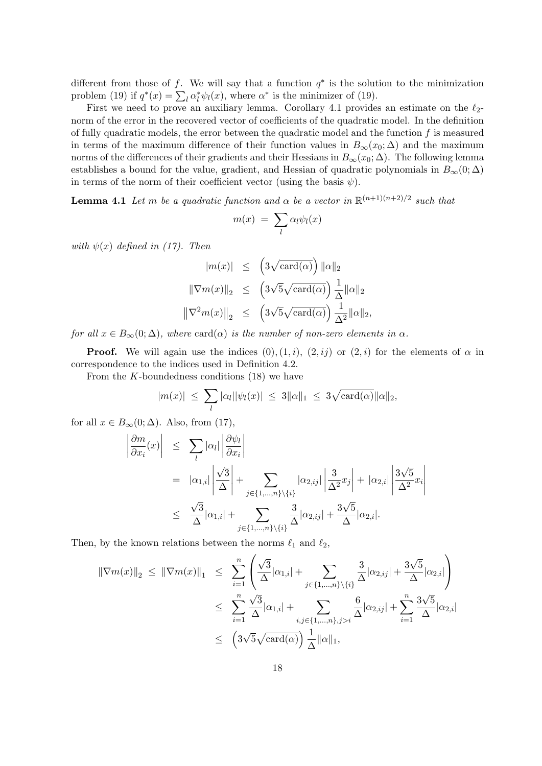different from those of *f*. We will say that a function  $q^*$  is the solution to the minimization problem (19) if  $q^*(x) = \sum_l \alpha_l^* \psi_l(x)$ , where  $\alpha^*$  is the minimizer of (19).

First we need to prove an auxiliary lemma. Corollary 4.1 provides an estimate on the *ℓ*2 norm of the error in the recovered vector of coefficients of the quadratic model. In the definition of fully quadratic models, the error between the quadratic model and the function *f* is measured in terms of the maximum difference of their function values in  $B_{\infty}(x_0;\Delta)$  and the maximum norms of the differences of their gradients and their Hessians in  $B_{\infty}(x_0; \Delta)$ . The following lemma establishes a bound for the value, gradient, and Hessian of quadratic polynomials in  $B_{\infty}(0;\Delta)$ in terms of the norm of their coefficient vector (using the basis  $\psi$ ).

**Lemma 4.1** *Let m be a quadratic function and*  $\alpha$  *be a vector in*  $\mathbb{R}^{(n+1)(n+2)/2}$  *such that* 

$$
m(x) = \sum_{l} \alpha_l \psi_l(x)
$$

*with*  $\psi(x)$  *defined in (17). Then* 

$$
|m(x)| \leq (3\sqrt{\text{card}(\alpha)}) ||\alpha||_2
$$
  

$$
||\nabla m(x)||_2 \leq (3\sqrt{5}\sqrt{\text{card}(\alpha)}) \frac{1}{\Delta} ||\alpha||_2
$$
  

$$
||\nabla^2 m(x)||_2 \leq (3\sqrt{5}\sqrt{\text{card}(\alpha)}) \frac{1}{\Delta^2} ||\alpha||_2,
$$

*for all*  $x \in B_\infty(0;\Delta)$ *, where* card( $\alpha$ ) *is the number of non-zero elements in*  $\alpha$ *.* 

**Proof.** We will again use the indices  $(0), (1, i), (2, ij)$  or  $(2, i)$  for the elements of  $\alpha$  in correspondence to the indices used in Definition 4.2.

From the *K*-boundedness conditions (18) we have

$$
|m(x)| \leq \sum_{l} |\alpha_l| |\psi_l(x)| \leq 3 ||\alpha||_1 \leq 3\sqrt{\text{card}(\alpha)} ||\alpha||_2,
$$

for all  $x \in B_\infty(0;\Delta)$ . Also, from (17),

$$
\left| \frac{\partial m}{\partial x_i}(x) \right| \leq \sum_l |\alpha_l| \left| \frac{\partial \psi_l}{\partial x_i} \right|
$$
  
=  $|\alpha_{1,i}| \left| \frac{\sqrt{3}}{\Delta} \right| + \sum_{j \in \{1,\dots,n\} \setminus \{i\}} |\alpha_{2,ij}| \left| \frac{3}{\Delta^2} x_j \right| + |\alpha_{2,i}| \left| \frac{3\sqrt{5}}{\Delta^2} x_i \right|$   
 $\leq \frac{\sqrt{3}}{\Delta} |\alpha_{1,i}| + \sum_{j \in \{1,\dots,n\} \setminus \{i\}} \frac{3}{\Delta} |\alpha_{2,ij}| + \frac{3\sqrt{5}}{\Delta} |\alpha_{2,i}|.$ 

Then, by the known relations between the norms  $\ell_1$  and  $\ell_2$ ,

$$
\|\nabla m(x)\|_2 \leq \|\nabla m(x)\|_1 \leq \sum_{i=1}^n \left( \frac{\sqrt{3}}{\Delta} |\alpha_{1,i}| + \sum_{j \in \{1,\dots,n\} \setminus \{i\}} \frac{3}{\Delta} |\alpha_{2,ij}| + \frac{3\sqrt{5}}{\Delta} |\alpha_{2,i}| \right)
$$
  

$$
\leq \sum_{i=1}^n \frac{\sqrt{3}}{\Delta} |\alpha_{1,i}| + \sum_{i,j \in \{1,\dots,n\}, j>i} \frac{6}{\Delta} |\alpha_{2,ij}| + \sum_{i=1}^n \frac{3\sqrt{5}}{\Delta} |\alpha_{2,i}|
$$
  

$$
\leq \left(3\sqrt{5}\sqrt{\text{card}(\alpha)}\right) \frac{1}{\Delta} ||\alpha||_1,
$$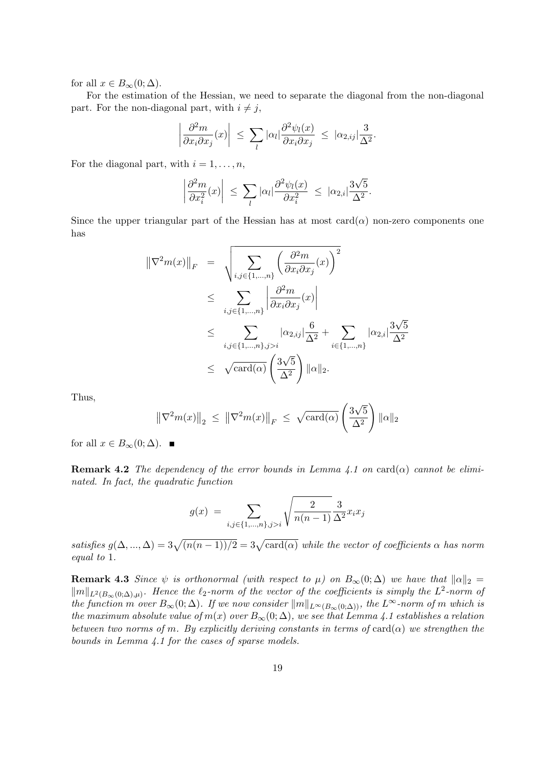for all  $x \in B_\infty(0; \Delta)$ .

For the estimation of the Hessian, we need to separate the diagonal from the non-diagonal part. For the non-diagonal part, with  $i \neq j$ ,

$$
\left|\frac{\partial^2 m}{\partial x_i \partial x_j}(x)\right| \ \leq \ \sum_l |\alpha_l| \frac{\partial^2 \psi_l(x)}{\partial x_i \partial x_j} \ \leq \ |\alpha_{2,ij}| \frac{3}{\Delta^2}.
$$

For the diagonal part, with  $i = 1, \ldots, n$ ,

$$
\left|\frac{\partial^2 m}{\partial x_i^2}(x)\right| \ \leq \ \sum_l |\alpha_l| \frac{\partial^2 \psi_l(x)}{\partial x_i^2} \ \leq \ |\alpha_{2,i}| \frac{3\sqrt{5}}{\Delta^2}.
$$

Since the upper triangular part of the Hessian has at most card $(\alpha)$  non-zero components one has

$$
\|\nabla^2 m(x)\|_F = \sqrt{\sum_{i,j \in \{1,\ldots,n\}} \left(\frac{\partial^2 m}{\partial x_i \partial x_j}(x)\right)^2}
$$
  
\n
$$
\leq \sum_{i,j \in \{1,\ldots,n\}} \left|\frac{\partial^2 m}{\partial x_i \partial x_j}(x)\right|
$$
  
\n
$$
\leq \sum_{i,j \in \{1,\ldots,n\},j>i} |\alpha_{2,ij}| \frac{6}{\Delta^2} + \sum_{i \in \{1,\ldots,n\}} |\alpha_{2,i}| \frac{3\sqrt{5}}{\Delta^2}
$$
  
\n
$$
\leq \sqrt{\text{card}(\alpha)} \left(\frac{3\sqrt{5}}{\Delta^2}\right) \|\alpha\|_2.
$$

Thus,

$$
\left\|\nabla^{2}m(x)\right\|_{2} \leq \left\|\nabla^{2}m(x)\right\|_{F} \leq \sqrt{\mathrm{card}(\alpha)} \left(\frac{3\sqrt{5}}{\Delta^{2}}\right) \|\alpha\|_{2}
$$

for all  $x \in B_{\infty}(0; \Delta)$ .

**Remark 4.2** *The dependency of the error bounds in Lemma 4.1 on* card( $\alpha$ ) *cannot be eliminated. In fact, the quadratic function*

$$
g(x) = \sum_{i,j \in \{1,\dots,n\}, j>i} \sqrt{\frac{2}{n(n-1)}} \frac{3}{\Delta^2} x_i x_j
$$

*satisfies*  $g(\Delta, ..., \Delta) = 3\sqrt{(n(n-1))/2} = 3\sqrt{\text{card}(\alpha)}$  *while the vector of coefficients*  $\alpha$  *has norm equal to* 1*.*

**Remark 4.3** *Since*  $\psi$  *is orthonormal (with respect to*  $\mu$ ) *on*  $B_{\infty}(0;\Delta)$  *we have that*  $\|\alpha\|_2 =$  $\|m\|_{L^2(B_{\infty}(0;\Delta),\mu)}$ . Hence the  $\ell_2$ -norm of the vector of the coefficients is simply the  $L^2$ -norm of  $\mathcal{L}_{\infty}$  *the function*  $\hat{m}$  *over*  $B_{\infty}(0;\Delta)$ *. If we now consider*  $||m||_{L^{\infty}(B_{\infty}(0;\Delta))}$ *, the*  $L^{\infty}$ *-norm of*  $m$  *which is the maximum absolute value of*  $m(x)$  *over*  $B_{\infty}(0;\Delta)$ *, we see that Lemma 4.1 establishes a relation between two norms of m. By explicitly deriving constants in terms of* card( $\alpha$ ) *we strengthen the bounds in Lemma 4.1 for the cases of sparse models.*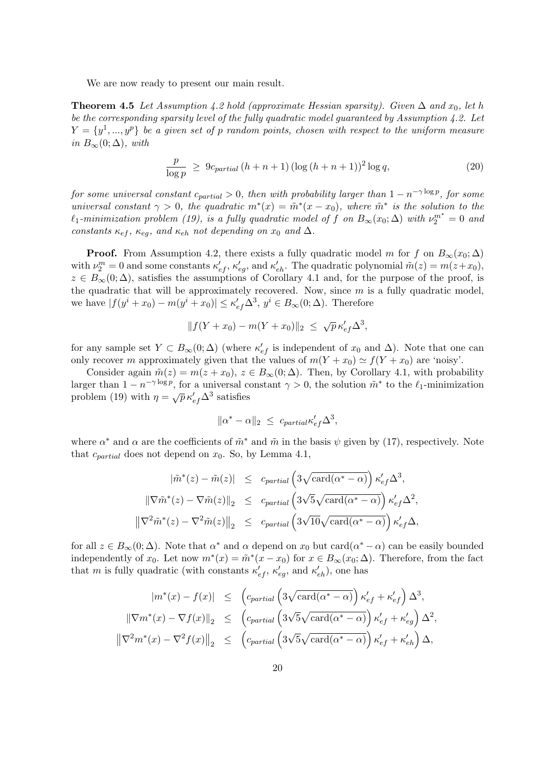We are now ready to present our main result.

**Theorem 4.5** *Let Assumption 4.2 hold (approximate Hessian sparsity). Given*  $\Delta$  *and*  $x_0$ , let h *be the corresponding sparsity level of the fully quadratic model guaranteed by Assumption 4.2. Let*  $Y = \{y^1, ..., y^p\}$  be a given set of *p* random points, chosen with respect to the uniform measure *in*  $B_{\infty}(0;\Delta)$ *, with* 

$$
\frac{p}{\log p} \ge 9c_{partial} \left(h + n + 1\right) \left(\log \left(h + n + 1\right)\right)^2 \log q,\tag{20}
$$

*for some universal constant*  $c_{partial} > 0$ , then with probability larger than  $1 - n^{-\gamma \log p}$ , for some *universal constant*  $\gamma > 0$ *, the quadratic*  $m^*(x) = \tilde{m}^*(x - x_0)$ *, where*  $\tilde{m}^*$  *is the solution to the*  $\ell_1$ -minimization problem (19), is a fully quadratic model of f on  $B_{\infty}(x_0; \Delta)$  with  $\nu_2^{m^*} = 0$  and *constants*  $\kappa_{ef}$ ,  $\kappa_{eq}$ *, and*  $\kappa_{eh}$  *not depending on*  $x_0$  *and*  $\Delta$ *.* 

**Proof.** From Assumption 4.2, there exists a fully quadratic model *m* for *f* on  $B_{\infty}(x_0; \Delta)$ with  $\nu_2^m = 0$  and some constants  $\kappa'_{ef}$ ,  $\kappa'_{eg}$ , and  $\kappa'_{eh}$ . The quadratic polynomial  $\tilde{m}(z) = m(z + x_0)$ ,  $z \in B_{\infty}(0;\Delta)$ , satisfies the assumptions of Corollary 4.1 and, for the purpose of the proof, is the quadratic that will be approximately recovered. Now, since *m* is a fully quadratic model, we have  $|f(y^i + x_0) - m(y^i + x_0)| \le \kappa'_{ef} \Delta^3$ ,  $y^i \in B_\infty(0; \Delta)$ . Therefore

$$
|| f(Y + x_0) - m(Y + x_0) ||_2 \le \sqrt{p} \, \kappa'_{ef} \Delta^3,
$$

for any sample set  $Y \subset B_{\infty}(0;\Delta)$  (where  $\kappa'_{ef}$  is independent of  $x_0$  and  $\Delta$ ). Note that one can only recover *m* approximately given that the values of  $m(Y + x_0) \simeq f(Y + x_0)$  are 'noisy'.

Consider again  $\tilde{m}(z) = m(z + x_0)$ ,  $z \in B_\infty(0;\Delta)$ . Then, by Corollary 4.1, with probability larger than  $1 - n^{-\gamma \log p}$ , for a universal constant  $\gamma > 0$ , the solution  $\tilde{m}^*$  to the  $\ell_1$ -minimization problem (19) with  $\eta = \sqrt{p} \kappa'_{ef} \Delta^3$  satisfies

$$
\|\alpha^* - \alpha\|_2 \ \leq \ c_{partial} \kappa_{ef}^{\prime} \Delta^3,
$$

where  $\alpha^*$  and  $\alpha$  are the coefficients of  $\tilde{m}^*$  and  $\tilde{m}$  in the basis  $\psi$  given by (17), respectively. Note that  $c_{partial}$  does not depend on  $x_0$ . So, by Lemma 4.1,

$$
|\tilde{m}^*(z) - \tilde{m}(z)| \leq c_{partial} \left( 3\sqrt{\text{card}(\alpha^* - \alpha)} \right) \kappa'_{ef} \Delta^3,
$$
  

$$
\|\nabla \tilde{m}^*(z) - \nabla \tilde{m}(z)\|_2 \leq c_{partial} \left( 3\sqrt{5}\sqrt{\text{card}(\alpha^* - \alpha)} \right) \kappa'_{ef} \Delta^2,
$$
  

$$
\|\nabla^2 \tilde{m}^*(z) - \nabla^2 \tilde{m}(z)\|_2 \leq c_{partial} \left( 3\sqrt{10}\sqrt{\text{card}(\alpha^* - \alpha)} \right) \kappa'_{ef} \Delta,
$$

for all  $z \in B_\infty(0;\Delta)$ . Note that  $\alpha^*$  and  $\alpha$  depend on  $x_0$  but  $card(\alpha^* - \alpha)$  can be easily bounded independently of  $x_0$ . Let now  $m^*(x) = \tilde{m}^*(x - x_0)$  for  $x \in B_\infty(x_0; \Delta)$ . Therefore, from the fact that *m* is fully quadratic (with constants  $\kappa'_{ef}$ ,  $\kappa'_{eg}$ , and  $\kappa'_{eh}$ ), one has

$$
|m^*(x) - f(x)| \leq \left( c_{partial} \sqrt{\text{card}(\alpha^* - \alpha)} \right) \kappa'_{ef} + \kappa'_{ef} \log \Delta^3,
$$
  

$$
\|\nabla m^*(x) - \nabla f(x)\|_2 \leq \left( c_{partial} \sqrt{5\sqrt{\text{card}(\alpha^* - \alpha)}} \right) \kappa'_{ef} + \kappa'_{eg} \log \Delta^2,
$$
  

$$
\|\nabla^2 m^*(x) - \nabla^2 f(x)\|_2 \leq \left( c_{partial} \sqrt{5\sqrt{\text{card}(\alpha^* - \alpha)}} \right) \kappa'_{ef} + \kappa'_{eh} \log \Delta^2,
$$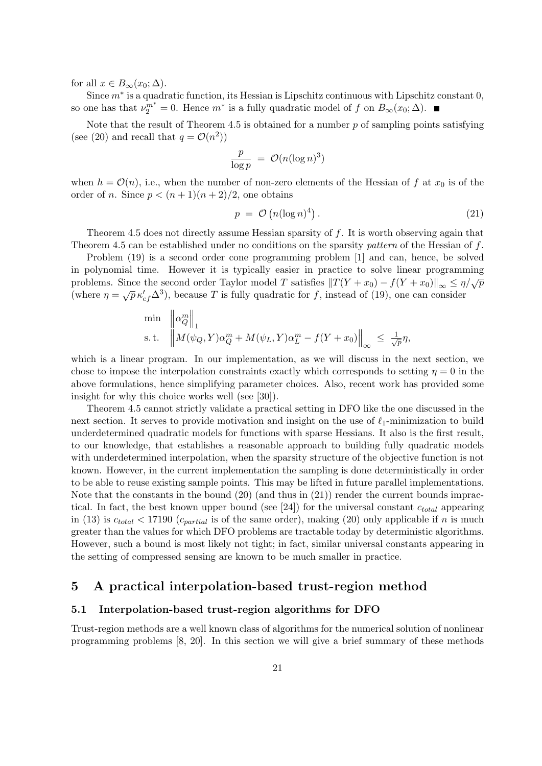for all  $x \in B_\infty(x_0; \Delta)$ .

Since *m<sup>∗</sup>* is a quadratic function, its Hessian is Lipschitz continuous with Lipschitz constant 0, so one has that  $\nu_2^{m^*} = 0$ . Hence  $m^*$  is a fully quadratic model of *f* on  $B_{\infty}(x_0; \Delta)$ .

Note that the result of Theorem 4.5 is obtained for a number *p* of sampling points satisfying (see (20) and recall that  $q = \mathcal{O}(n^2)$ )

$$
\frac{p}{\log p} = \mathcal{O}(n(\log n)^3)
$$

when  $h = \mathcal{O}(n)$ , i.e., when the number of non-zero elements of the Hessian of f at  $x_0$  is of the order of *n*. Since  $p < (n+1)(n+2)/2$ , one obtains

$$
p = \mathcal{O}\left(n(\log n)^4\right). \tag{21}
$$

Theorem 4.5 does not directly assume Hessian sparsity of *f*. It is worth observing again that Theorem 4.5 can be established under no conditions on the sparsity *pattern* of the Hessian of *f*.

Problem (19) is a second order cone programming problem [1] and can, hence, be solved in polynomial time. However it is typically easier in practice to solve linear programming problems. Since the second order Taylor model *T* satisfies  $||T(Y + x_0) - f(Y + x_0)||_{\infty} \le \eta/\sqrt{p}$ (where  $\eta = \sqrt{p} \kappa'_{ef} \Delta^3$ ), because *T* is fully quadratic for *f*, instead of (19), one can consider

$$
\min_{\mathbf{S}.\mathbf{t}} \left\| \alpha_Q^m \right\|_1
$$
\n
$$
\text{s.t.} \quad \left\| M(\psi_Q, Y)\alpha_Q^m + M(\psi_L, Y)\alpha_L^m - f(Y + x_0) \right\|_{\infty} \le \frac{1}{\sqrt{p}}\eta,
$$

which is a linear program. In our implementation, as we will discuss in the next section, we chose to impose the interpolation constraints exactly which corresponds to setting  $\eta = 0$  in the above formulations, hence simplifying parameter choices. Also, recent work has provided some insight for why this choice works well (see [30]).

Theorem 4.5 cannot strictly validate a practical setting in DFO like the one discussed in the next section. It serves to provide motivation and insight on the use of *ℓ*1-minimization to build underdetermined quadratic models for functions with sparse Hessians. It also is the first result, to our knowledge, that establishes a reasonable approach to building fully quadratic models with underdetermined interpolation, when the sparsity structure of the objective function is not known. However, in the current implementation the sampling is done deterministically in order to be able to reuse existing sample points. This may be lifted in future parallel implementations. Note that the constants in the bound  $(20)$  (and thus in  $(21)$ ) render the current bounds impractical. In fact, the best known upper bound (see [24]) for the universal constant *ctotal* appearing in (13) is  $c_{total} < 17190$  ( $c_{partial}$  is of the same order), making (20) only applicable if *n* is much greater than the values for which DFO problems are tractable today by deterministic algorithms. However, such a bound is most likely not tight; in fact, similar universal constants appearing in the setting of compressed sensing are known to be much smaller in practice.

# **5 A practical interpolation-based trust-region method**

# **5.1 Interpolation-based trust-region algorithms for DFO**

Trust-region methods are a well known class of algorithms for the numerical solution of nonlinear programming problems [8, 20]. In this section we will give a brief summary of these methods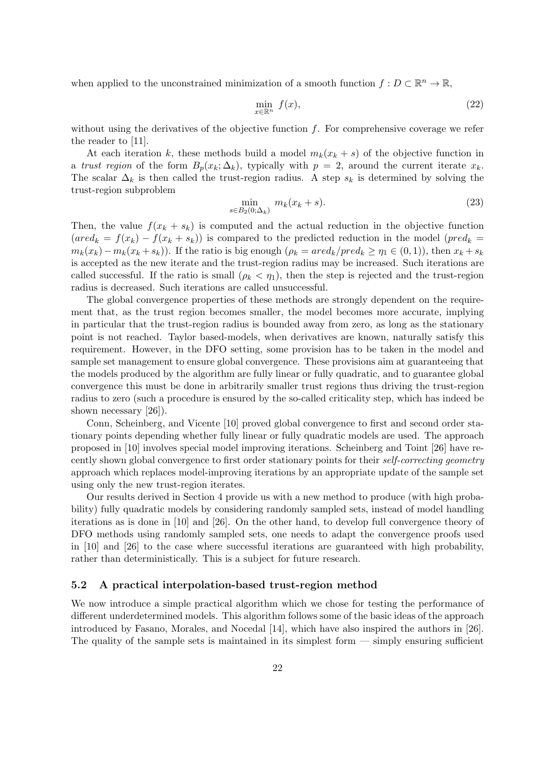when applied to the unconstrained minimization of a smooth function  $f: D \subset \mathbb{R}^n \to \mathbb{R}$ ,

$$
\min_{x \in \mathbb{R}^n} f(x),\tag{22}
$$

without using the derivatives of the objective function *f*. For comprehensive coverage we refer the reader to [11].

At each iteration *k*, these methods build a model  $m_k(x_k + s)$  of the objective function in a *trust region* of the form  $B_p(x_k; \Delta_k)$ , typically with  $p = 2$ , around the current iterate  $x_k$ . The scalar  $\Delta_k$  is then called the trust-region radius. A step  $s_k$  is determined by solving the trust-region subproblem

$$
\min_{s \in B_2(0;\Delta_k)} m_k(x_k + s). \tag{23}
$$

Then, the value  $f(x_k + s_k)$  is computed and the actual reduction in the objective function  $(\text{ared}_k = f(x_k) - f(x_k + s_k))$  is compared to the predicted reduction in the model (*pred<sub>k</sub>* =  $m_k(x_k) - m_k(x_k + s_k)$ . If the ratio is big enough  $(\rho_k = \text{ared}_k/\text{pred}_k \geq \eta_1 \in (0, 1)),$  then  $x_k + s_k$ is accepted as the new iterate and the trust-region radius may be increased. Such iterations are called successful. If the ratio is small  $(\rho_k < \eta_1)$ , then the step is rejected and the trust-region radius is decreased. Such iterations are called unsuccessful.

The global convergence properties of these methods are strongly dependent on the requirement that, as the trust region becomes smaller, the model becomes more accurate, implying in particular that the trust-region radius is bounded away from zero, as long as the stationary point is not reached. Taylor based-models, when derivatives are known, naturally satisfy this requirement. However, in the DFO setting, some provision has to be taken in the model and sample set management to ensure global convergence. These provisions aim at guaranteeing that the models produced by the algorithm are fully linear or fully quadratic, and to guarantee global convergence this must be done in arbitrarily smaller trust regions thus driving the trust-region radius to zero (such a procedure is ensured by the so-called criticality step, which has indeed be shown necessary [26]).

Conn, Scheinberg, and Vicente [10] proved global convergence to first and second order stationary points depending whether fully linear or fully quadratic models are used. The approach proposed in [10] involves special model improving iterations. Scheinberg and Toint [26] have recently shown global convergence to first order stationary points for their *self-correcting geometry* approach which replaces model-improving iterations by an appropriate update of the sample set using only the new trust-region iterates.

Our results derived in Section 4 provide us with a new method to produce (with high probability) fully quadratic models by considering randomly sampled sets, instead of model handling iterations as is done in [10] and [26]. On the other hand, to develop full convergence theory of DFO methods using randomly sampled sets, one needs to adapt the convergence proofs used in [10] and [26] to the case where successful iterations are guaranteed with high probability, rather than deterministically. This is a subject for future research.

### **5.2 A practical interpolation-based trust-region method**

We now introduce a simple practical algorithm which we chose for testing the performance of different underdetermined models. This algorithm follows some of the basic ideas of the approach introduced by Fasano, Morales, and Nocedal [14], which have also inspired the authors in [26]. The quality of the sample sets is maintained in its simplest form — simply ensuring sufficient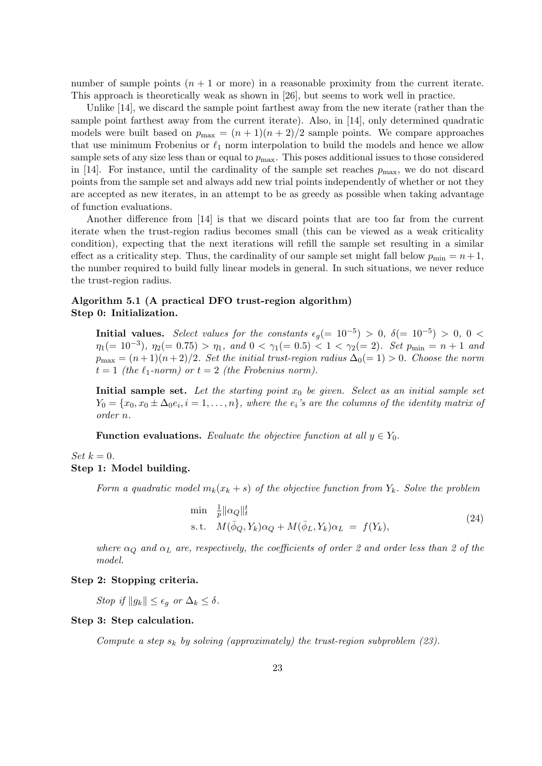number of sample points  $(n + 1)$  or more) in a reasonable proximity from the current iterate. This approach is theoretically weak as shown in [26], but seems to work well in practice.

Unlike [14], we discard the sample point farthest away from the new iterate (rather than the sample point farthest away from the current iterate). Also, in [14], only determined quadratic models were built based on  $p_{\text{max}} = (n+1)(n+2)/2$  sample points. We compare approaches that use minimum Frobenius or  $\ell_1$  norm interpolation to build the models and hence we allow sample sets of any size less than or equal to  $p_{\text{max}}$ . This poses additional issues to those considered in [14]. For instance, until the cardinality of the sample set reaches  $p_{\text{max}}$ , we do not discard points from the sample set and always add new trial points independently of whether or not they are accepted as new iterates, in an attempt to be as greedy as possible when taking advantage of function evaluations.

Another difference from [14] is that we discard points that are too far from the current iterate when the trust-region radius becomes small (this can be viewed as a weak criticality condition), expecting that the next iterations will refill the sample set resulting in a similar effect as a criticality step. Thus, the cardinality of our sample set might fall below  $p_{\min} = n + 1$ , the number required to build fully linear models in general. In such situations, we never reduce the trust-region radius.

# **Algorithm 5.1 (A practical DFO trust-region algorithm) Step 0: Initialization.**

**Initial values.** *Select values for the constants*  $\epsilon_g$  (= 10<sup>-5</sup>) > 0,  $\delta$  (= 10<sup>-5</sup>) > 0, 0 <  $\eta_1(=10^{-3})$ ,  $\eta_2(=0.75) > \eta_1$ , and  $0 < \gamma_1(=0.5) < 1 < \gamma_2(=2)$ . Set  $p_{\min} = n + 1$  and  $p_{\text{max}} = (n+1)(n+2)/2$ *. Set the initial trust-region radius*  $\Delta_0(=1) > 0$ *. Choose the norm*  $t = 1$  *(the*  $\ell_1$ *-norm) or*  $t = 2$  *(the Frobenius norm)*.

**Initial sample set.** Let the starting point  $x_0$  be given. Select as an initial sample set  $Y_0 = \{x_0, x_0 \pm \Delta_0 e_i, i = 1, \ldots, n\}$ , where the  $e_i$ 's are the columns of the identity matrix of *order n.*

**Function evaluations.** *Evaluate the objective function at all*  $y \in Y_0$ *.* 

# *Set*  $k = 0$ *.* **Step 1: Model building.**

*Form a quadratic model*  $m_k(x_k + s)$  *of the objective function from*  $Y_k$ *. Solve the problem* 

$$
\min \quad \frac{1}{p} \|\alpha_Q\|_t^t
$$
\n
$$
\text{s.t.} \quad M(\bar{\phi}_Q, Y_k)\alpha_Q + M(\bar{\phi}_L, Y_k)\alpha_L = f(Y_k), \tag{24}
$$

*where*  $\alpha_Q$  *and*  $\alpha_L$  *are, respectively, the coefficients of order 2 and order less than 2 of the model.*

# **Step 2: Stopping criteria.**

*Stop if*  $||g_k|| \leq \epsilon_q$  *or*  $\Delta_k \leq \delta$ .

# **Step 3: Step calculation.**

*Compute a step s<sup>k</sup> by solving (approximately) the trust-region subproblem (23).*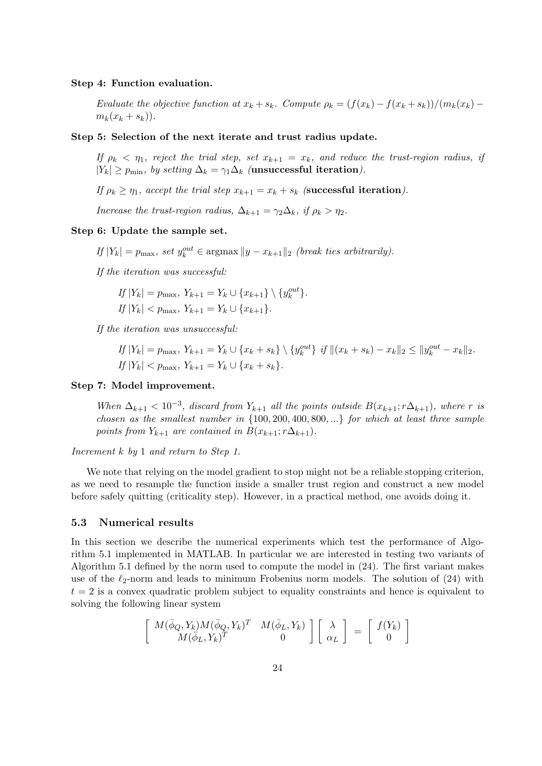### **Step 4: Function evaluation.**

Evaluate the objective function at  $x_k + s_k$ . Compute  $\rho_k = (f(x_k) - f(x_k + s_k))/(m_k(x_k)$  $m_k(x_k + s_k)$ .

### **Step 5: Selection of the next iterate and trust radius update.**

*If*  $\rho_k$  <  $\eta_1$ *, reject the trial step, set*  $x_{k+1} = x_k$ *, and reduce the trust-region radius, if*  $|Y_k| \geq p_{\min}$ , by setting  $\Delta_k = \gamma_1 \Delta_k$  (**unsuccessful iteration**).

*If*  $\rho_k \geq \eta_1$ , accept the trial step  $x_{k+1} = x_k + s_k$  (**successful iteration**).

*Increase the trust-region radius,*  $\Delta_{k+1} = \gamma_2 \Delta_k$ *, if*  $\rho_k > \eta_2$ *.* 

**Step 6: Update the sample set.**

 $If |Y_k| = p_{\text{max}}$ , set  $y_k^{out} \in \text{argmax} ||y - x_{k+1}||_2$  *(break ties arbitrarily).* 

*If the iteration was successful:*

$$
If |Y_k| = p_{\max}, Y_{k+1} = Y_k \cup \{x_{k+1}\} \setminus \{y_k^{out}\}.
$$
  

$$
If |Y_k| < p_{\max}, Y_{k+1} = Y_k \cup \{x_{k+1}\}.
$$

*If the iteration was unsuccessful:*

 $If |Y_k| = p_{\max}, Y_{k+1} = Y_k \cup \{x_k + s_k\} \setminus \{y_k^{out}\}\$  if  $||(x_k + s_k) - x_k||_2 \le ||y_k^{out} - x_k||_2$ .  $If |Y_k| < p_{\text{max}}, Y_{k+1} = Y_k \cup \{x_k + s_k\}.$ 

### **Step 7: Model improvement.**

*When*  $\Delta_{k+1}$  < 10<sup>-3</sup>, discard from  $Y_{k+1}$  all the points outside  $B(x_{k+1}; r\Delta_{k+1})$ , where *r* is *chosen as the smallest number in {*100*,* 200*,* 400*,* 800*, ...} for which at least three sample points from*  $Y_{k+1}$  *are contained in*  $B(x_{k+1}; r\Delta_{k+1})$ *.* 

*Increment k by* 1 *and return to Step 1.*

We note that relying on the model gradient to stop might not be a reliable stopping criterion, as we need to resample the function inside a smaller trust region and construct a new model before safely quitting (criticality step). However, in a practical method, one avoids doing it.

#### **5.3 Numerical results**

In this section we describe the numerical experiments which test the performance of Algorithm 5.1 implemented in MATLAB. In particular we are interested in testing two variants of Algorithm 5.1 defined by the norm used to compute the model in (24). The first variant makes use of the  $\ell_2$ -norm and leads to minimum Frobenius norm models. The solution of (24) with  $t = 2$  is a convex quadratic problem subject to equality constraints and hence is equivalent to solving the following linear system

$$
\begin{bmatrix}\nM(\bar{\phi}_Q, Y_k) M(\bar{\phi}_Q, Y_k)^T & M(\bar{\phi}_L, Y_k) \\
M(\bar{\phi}_L, Y_k)^T & 0\n\end{bmatrix}\n\begin{bmatrix}\n\lambda \\
\alpha_L\n\end{bmatrix} =\n\begin{bmatrix}\nf(Y_k) \\
0\n\end{bmatrix}
$$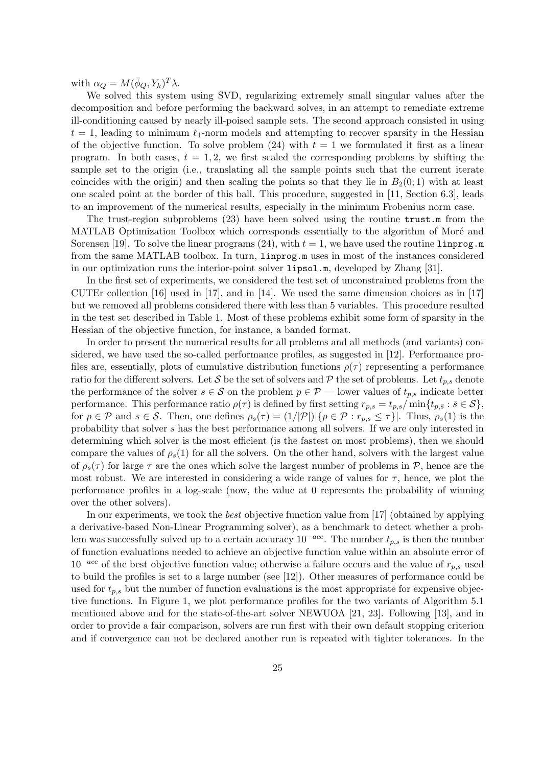with  $\alpha_Q = M(\bar{\phi}_Q, Y_k)^T \lambda$ .

We solved this system using SVD, regularizing extremely small singular values after the decomposition and before performing the backward solves, in an attempt to remediate extreme ill-conditioning caused by nearly ill-poised sample sets. The second approach consisted in using  $t = 1$ , leading to minimum  $\ell_1$ -norm models and attempting to recover sparsity in the Hessian of the objective function. To solve problem  $(24)$  with  $t = 1$  we formulated it first as a linear program. In both cases,  $t = 1, 2$ , we first scaled the corresponding problems by shifting the sample set to the origin (i.e., translating all the sample points such that the current iterate coincides with the origin) and then scaling the points so that they lie in  $B_2(0;1)$  with at least one scaled point at the border of this ball. This procedure, suggested in [11, Section 6.3], leads to an improvement of the numerical results, especially in the minimum Frobenius norm case.

The trust-region subproblems  $(23)$  have been solved using the routine trust.m from the MATLAB Optimization Toolbox which corresponds essentially to the algorithm of Moré and Sorensen [19]. To solve the linear programs  $(24)$ , with  $t = 1$ , we have used the routine linprog.m from the same MATLAB toolbox. In turn, linprog.m uses in most of the instances considered in our optimization runs the interior-point solver lipsol.m, developed by Zhang [31].

In the first set of experiments, we considered the test set of unconstrained problems from the CUTEr collection [16] used in [17], and in [14]. We used the same dimension choices as in [17] but we removed all problems considered there with less than 5 variables. This procedure resulted in the test set described in Table 1. Most of these problems exhibit some form of sparsity in the Hessian of the objective function, for instance, a banded format.

In order to present the numerical results for all problems and all methods (and variants) considered, we have used the so-called performance profiles, as suggested in [12]. Performance profiles are, essentially, plots of cumulative distribution functions  $\rho(\tau)$  representing a performance ratio for the different solvers. Let *S* be the set of solvers and *P* the set of problems. Let  $t_{p,s}$  denote the performance of the solver  $s \in S$  on the problem  $p \in P$  — lower values of  $t_{p,s}$  indicate better performance. This performance ratio  $\rho(\tau)$  is defined by first setting  $r_{p,s} = t_{p,s}/\min\{t_{p,s} : \bar{s} \in \mathcal{S}\},$ for  $p \in \mathcal{P}$  and  $s \in \mathcal{S}$ . Then, one defines  $\rho_s(\tau) = (1/|\mathcal{P}|)[\{p \in \mathcal{P} : r_{p,s} \leq \tau\}].$  Thus,  $\rho_s(1)$  is the probability that solver *s* has the best performance among all solvers. If we are only interested in determining which solver is the most efficient (is the fastest on most problems), then we should compare the values of  $\rho_s(1)$  for all the solvers. On the other hand, solvers with the largest value of  $\rho_s(\tau)$  for large  $\tau$  are the ones which solve the largest number of problems in  $\mathcal{P}$ , hence are the most robust. We are interested in considering a wide range of values for  $\tau$ , hence, we plot the performance profiles in a log-scale (now, the value at 0 represents the probability of winning over the other solvers).

In our experiments, we took the *best* objective function value from [17] (obtained by applying a derivative-based Non-Linear Programming solver), as a benchmark to detect whether a problem was successfully solved up to a certain accuracy 10*−acc*. The number *tp,s* is then the number of function evaluations needed to achieve an objective function value within an absolute error of 10*−acc* of the best objective function value; otherwise a failure occurs and the value of *rp,s* used to build the profiles is set to a large number (see [12]). Other measures of performance could be used for  $t_{p,s}$  but the number of function evaluations is the most appropriate for expensive objective functions. In Figure 1, we plot performance profiles for the two variants of Algorithm 5.1 mentioned above and for the state-of-the-art solver NEWUOA [21, 23]. Following [13], and in order to provide a fair comparison, solvers are run first with their own default stopping criterion and if convergence can not be declared another run is repeated with tighter tolerances. In the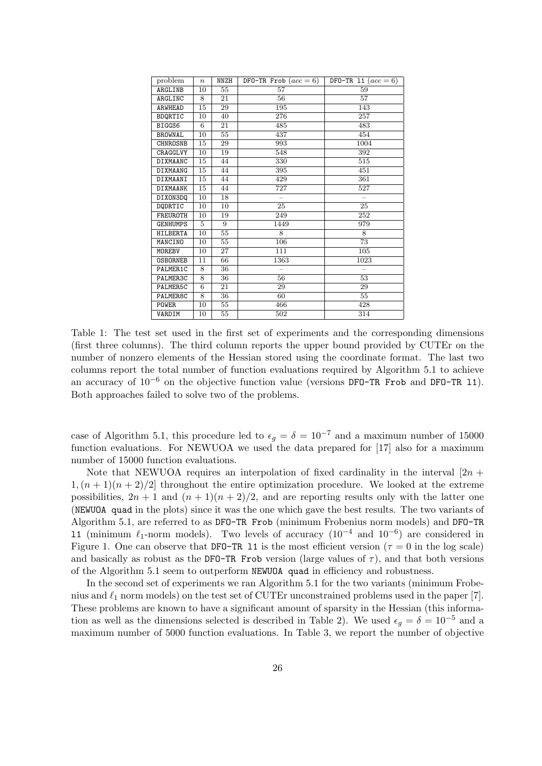| problem         | $\boldsymbol{n}$ | NNZH | DFO-TR Frob $(ac = 6)$   | DF0-TR 11 $(ac = 6)$     |
|-----------------|------------------|------|--------------------------|--------------------------|
| ARGLINB         | 10               | 55   | 57                       | 59                       |
| ARGLINC         | 8                | 21   | 56                       | 57                       |
| ARWHEAD         | 15               | 29   | 195                      | 143                      |
| BDQRTIC         | 10               | 40   | 276                      | 257                      |
| BIGGS6          | 6                | 21   | 485                      | 483                      |
| <b>BROWNAL</b>  | 10               | 55   | 437                      | 454                      |
| CHNROSNB        | 15               | 29   | 993                      | 1004                     |
| CRAGGLVY        | 10               | 19   | 548                      | 392                      |
| <b>DIXMAANC</b> | 15               | 44   | 330                      | 515                      |
| <b>DIXMAANG</b> | 15               | 44   | 395                      | 451                      |
| DIXMAANI        | 15               | 44   | 429                      | 361                      |
| DIXMAANK        | 15               | 44   | 727                      | 527                      |
| DIXON3DQ        | 10               | 18   | $\overline{\phantom{0}}$ | $\overline{\phantom{0}}$ |
| DQDRTIC         | 10               | 10   | 25                       | 25                       |
| <b>FREUROTH</b> | 10               | 19   | 249                      | 252                      |
| <b>GENHUMPS</b> | 5                | 9    | 1449                     | 979                      |
| <b>HILBERTA</b> | 10               | 55   | 8                        | 8                        |
| MANCINO         | 10               | 55   | 106                      | $\overline{73}$          |
| MOREBV          | 10               | 27   | 111                      | 105                      |
| <b>OSBORNEB</b> | 11               | 66   | 1363                     | 1023                     |
| PALMER1C        | 8                | 36   | $\overline{\phantom{0}}$ |                          |
| PALMER3C        | 8                | 36   | 56                       | 53                       |
| PALMER5C        | 6                | 21   | 29                       | 29                       |
| PALMER8C        | 8                | 36   | 60                       | 55                       |
| <b>POWER</b>    | 10               | 55   | 466                      | 428                      |
| VARDIM          | 10               | 55   | 502                      | 314                      |

Table 1: The test set used in the first set of experiments and the corresponding dimensions (first three columns). The third column reports the upper bound provided by CUTEr on the number of nonzero elements of the Hessian stored using the coordinate format. The last two columns report the total number of function evaluations required by Algorithm 5.1 to achieve an accuracy of 10*−*<sup>6</sup> on the objective function value (versions DFO-TR Frob and DFO-TR l1). Both approaches failed to solve two of the problems.

case of Algorithm 5.1, this procedure led to  $\epsilon_q = \delta = 10^{-7}$  and a maximum number of 15000 function evaluations. For NEWUOA we used the data prepared for [17] also for a maximum number of 15000 function evaluations.

Note that NEWUOA requires an interpolation of fixed cardinality in the interval  $[2n +$  $1,(n+1)(n+2)/2$  throughout the entire optimization procedure. We looked at the extreme possibilities,  $2n + 1$  and  $(n + 1)(n + 2)/2$ , and are reporting results only with the latter one (NEWUOA quad in the plots) since it was the one which gave the best results. The two variants of Algorithm 5.1, are referred to as DFO-TR Frob (minimum Frobenius norm models) and DFO-TR l1 (minimum *ℓ*1-norm models). Two levels of accuracy (10*−*<sup>4</sup> and 10*−*<sup>6</sup> ) are considered in Figure 1. One can observe that DFO-TR 11 is the most efficient version ( $\tau = 0$  in the log scale) and basically as robust as the DFO-TR Frob version (large values of  $\tau$ ), and that both versions of the Algorithm 5.1 seem to outperform NEWUOA quad in efficiency and robustness.

In the second set of experiments we ran Algorithm 5.1 for the two variants (minimum Frobenius and  $\ell_1$  norm models) on the test set of CUTEr unconstrained problems used in the paper [7]. These problems are known to have a significant amount of sparsity in the Hessian (this information as well as the dimensions selected is described in Table 2). We used  $\epsilon_q = \delta = 10^{-5}$  and a maximum number of 5000 function evaluations. In Table 3, we report the number of objective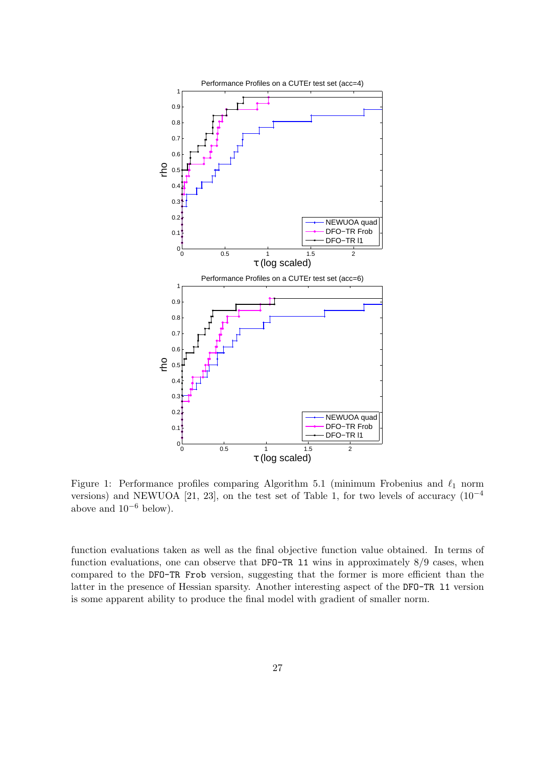

Figure 1: Performance profiles comparing Algorithm 5.1 (minimum Frobenius and *ℓ*<sup>1</sup> norm versions) and NEWUOA [21, 23], on the test set of Table 1, for two levels of accuracy (10*−*<sup>4</sup> above and 10*−*<sup>6</sup> below).

function evaluations taken as well as the final objective function value obtained. In terms of function evaluations, one can observe that DFO-TR l1 wins in approximately 8*/*9 cases, when compared to the DFO-TR Frob version, suggesting that the former is more efficient than the latter in the presence of Hessian sparsity. Another interesting aspect of the DFO-TR l1 version is some apparent ability to produce the final model with gradient of smaller norm.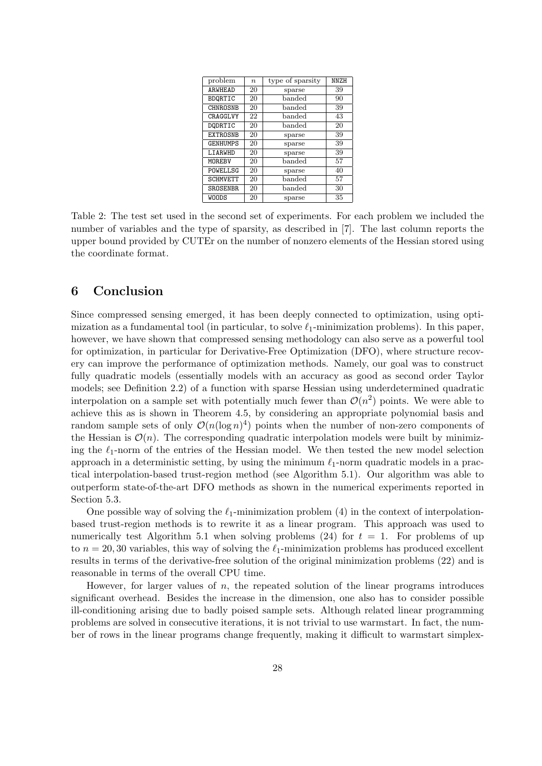| problem         | $\boldsymbol{n}$ | type of sparsity | <b>NNZH</b> |
|-----------------|------------------|------------------|-------------|
| <b>ARWHEAD</b>  | 20               | sparse           | 39          |
| <b>BDORTIC</b>  | 20               | banded           | 90          |
| CHNROSNB        | 20               | banded           | 39          |
| CRAGGLVY        | 22               | banded           | 43          |
| DQDRTIC         | 20               | banded           | 20          |
| <b>EXTROSNB</b> | 20               | sparse           | 39          |
| <b>GENHUMPS</b> | 20               | sparse           | 39          |
| <b>LIARWHD</b>  | 20               | sparse           | 39          |
| MOREBV          | 20               | banded           | 57          |
| POWELLSG        | 20               | sparse           | 40          |
| <b>SCHMVETT</b> | 20               | banded           | 57          |
| SROSENBR        | 20               | banded           | 30          |
| <b>WOODS</b>    | 20               | sparse           | 35          |

Table 2: The test set used in the second set of experiments. For each problem we included the number of variables and the type of sparsity, as described in [7]. The last column reports the upper bound provided by CUTEr on the number of nonzero elements of the Hessian stored using the coordinate format.

# **6 Conclusion**

Since compressed sensing emerged, it has been deeply connected to optimization, using optimization as a fundamental tool (in particular, to solve *ℓ*1-minimization problems). In this paper, however, we have shown that compressed sensing methodology can also serve as a powerful tool for optimization, in particular for Derivative-Free Optimization (DFO), where structure recovery can improve the performance of optimization methods. Namely, our goal was to construct fully quadratic models (essentially models with an accuracy as good as second order Taylor models; see Definition 2.2) of a function with sparse Hessian using underdetermined quadratic interpolation on a sample set with potentially much fewer than  $\mathcal{O}(n^2)$  points. We were able to achieve this as is shown in Theorem 4.5, by considering an appropriate polynomial basis and random sample sets of only  $\mathcal{O}(n(\log n)^4)$  points when the number of non-zero components of the Hessian is  $\mathcal{O}(n)$ . The corresponding quadratic interpolation models were built by minimizing the *ℓ*1-norm of the entries of the Hessian model. We then tested the new model selection approach in a deterministic setting, by using the minimum  $\ell_1$ -norm quadratic models in a practical interpolation-based trust-region method (see Algorithm 5.1). Our algorithm was able to outperform state-of-the-art DFO methods as shown in the numerical experiments reported in Section 5.3.

One possible way of solving the *ℓ*1-minimization problem (4) in the context of interpolationbased trust-region methods is to rewrite it as a linear program. This approach was used to numerically test Algorithm 5.1 when solving problems  $(24)$  for  $t = 1$ . For problems of up to  $n = 20, 30$  variables, this way of solving the  $\ell_1$ -minimization problems has produced excellent results in terms of the derivative-free solution of the original minimization problems (22) and is reasonable in terms of the overall CPU time.

However, for larger values of *n*, the repeated solution of the linear programs introduces significant overhead. Besides the increase in the dimension, one also has to consider possible ill-conditioning arising due to badly poised sample sets. Although related linear programming problems are solved in consecutive iterations, it is not trivial to use warmstart. In fact, the number of rows in the linear programs change frequently, making it difficult to warmstart simplex-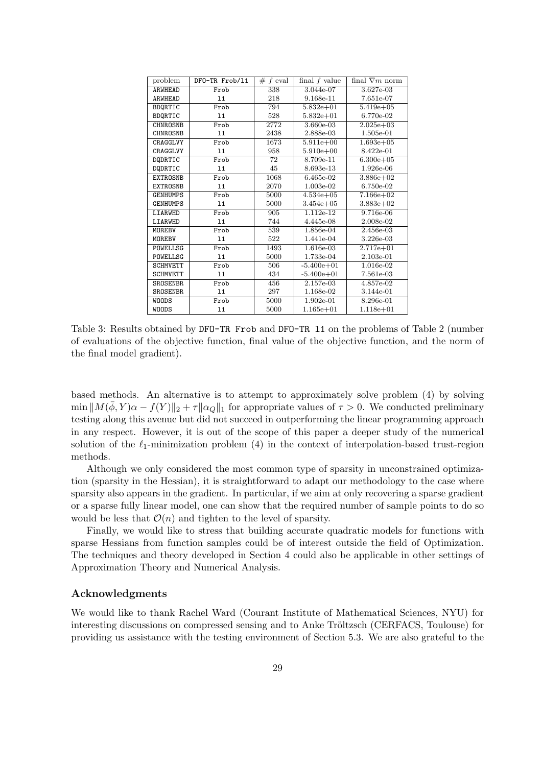| problem         | DFO-TR Frob/11 | # $f$ eval | final $f$ value | final $\nabla m$ norm |
|-----------------|----------------|------------|-----------------|-----------------------|
| <b>ARWHEAD</b>  | Frob           | 338        | 3.044e-07       | 3.627e-03             |
| <b>ARWHEAD</b>  | 11             | 218        | 9.168e-11       | 7.651e-07             |
| <b>BDORTIC</b>  | Frob           | 794        | $5.832e+01$     | $5.419e + 05$         |
| BDQRTIC         | 11             | 528        | $5.832e + 01$   | 6.770e-02             |
| CHNROSNB        | Frob           | 2772       | 3.660e-03       | $2.025e + 03$         |
| CHNROSNB        | 11             | 2438       | 2.888e-03       | $1.505e-01$           |
| CRAGGLVY        | Frob           | 1673       | $5.911e+00$     | $1.693e + 05$         |
| CRAGGLVY        | 11             | 958        | $5.910e + 00$   | 8.422e-01             |
| DQDRTIC         | Frob           | 72         | $8.709e-11$     | $6.300e + 0.5$        |
| DQDRTIC         | 11             | 45         | 8.693e-13       | 1.926e-06             |
| <b>EXTROSNB</b> | Frob           | 1068       | 6.465e-02       | $3.886 + 02$          |
| <b>EXTROSNB</b> | 11             | 2070       | $1.003e-02$     | 6.750e-02             |
| <b>GENHUMPS</b> | Frob           | 5000       | $4.534e + 05$   | $7.166e + 02$         |
| <b>GENHUMPS</b> | 11             | 5000       | $3.454e + 05$   | $3.883e+02$           |
| <b>LIARWHD</b>  | Frob           | 905        | 1.112e-12       | 9.716e-06             |
| LIARWHD         | 11             | 744        | 4.445e-08       | 2.008e-02             |
| MOREBV          | Frob           | 539        | 1.856e-04       | 2.456e-03             |
| MOREBV          | 11             | 522        | 1.441e-04       | 3.226e-03             |
| POWELLSG        | Frob           | 1493       | 1.616e-03       | $2.717e + 01$         |
| POWELLSG        | 11             | 5000       | 1.733e-04       | 2.103e-01             |
| <b>SCHMVETT</b> | Frob           | 506        | $-5.400e + 01$  | 1.016e-02             |
| <b>SCHMVETT</b> | 11             | 434        | $-5.400e + 01$  | 7.561e-03             |
| SROSENBR        | Frob           | 456        | 2.157e-03       | 4.857e-02             |
| SROSENBR        | 11             | 297        | 1.168e-02       | 3.144e-01             |
| <b>WOODS</b>    | Frob           | 5000       | $1.902e-01$     | 8.296e-01             |
| <b>WOODS</b>    | 11             | 5000       | $1.165e + 01$   | $1.118e + 01$         |

Table 3: Results obtained by DFO-TR Frob and DFO-TR l1 on the problems of Table 2 (number of evaluations of the objective function, final value of the objective function, and the norm of the final model gradient).

based methods. An alternative is to attempt to approximately solve problem (4) by solving  $\min \|M(\bar{\phi}, Y)\alpha - f(Y)\|_2 + \tau \|\alpha_Q\|_1$  for appropriate values of  $\tau > 0$ . We conducted preliminary testing along this avenue but did not succeed in outperforming the linear programming approach in any respect. However, it is out of the scope of this paper a deeper study of the numerical solution of the  $\ell_1$ -minimization problem  $(4)$  in the context of interpolation-based trust-region methods.

Although we only considered the most common type of sparsity in unconstrained optimization (sparsity in the Hessian), it is straightforward to adapt our methodology to the case where sparsity also appears in the gradient. In particular, if we aim at only recovering a sparse gradient or a sparse fully linear model, one can show that the required number of sample points to do so would be less that  $\mathcal{O}(n)$  and tighten to the level of sparsity.

Finally, we would like to stress that building accurate quadratic models for functions with sparse Hessians from function samples could be of interest outside the field of Optimization. The techniques and theory developed in Section 4 could also be applicable in other settings of Approximation Theory and Numerical Analysis.

# **Acknowledgments**

We would like to thank Rachel Ward (Courant Institute of Mathematical Sciences, NYU) for interesting discussions on compressed sensing and to Anke Tröltzsch (CERFACS, Toulouse) for providing us assistance with the testing environment of Section 5.3. We are also grateful to the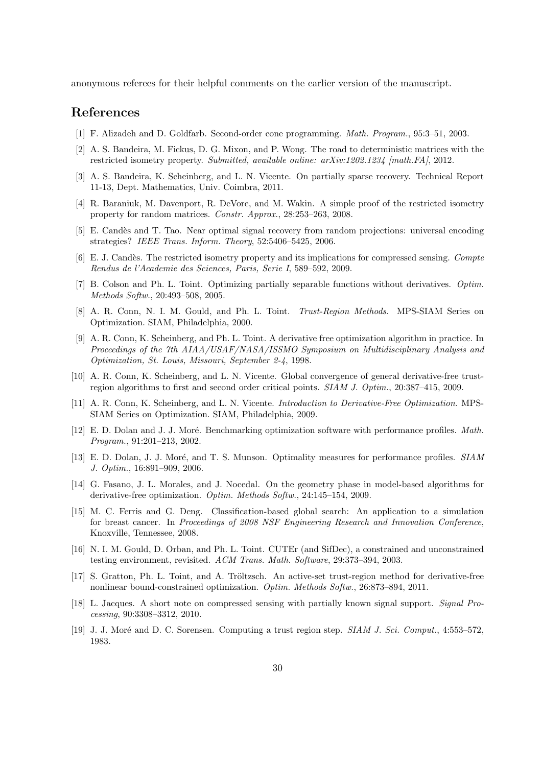anonymous referees for their helpful comments on the earlier version of the manuscript.

# **References**

- [1] F. Alizadeh and D. Goldfarb. Second-order cone programming. *Math. Program.*, 95:3–51, 2003.
- [2] A. S. Bandeira, M. Fickus, D. G. Mixon, and P. Wong. The road to deterministic matrices with the restricted isometry property. *Submitted, available online: arXiv:1202.1234 [math.FA]*, 2012.
- [3] A. S. Bandeira, K. Scheinberg, and L. N. Vicente. On partially sparse recovery. Technical Report 11-13, Dept. Mathematics, Univ. Coimbra, 2011.
- [4] R. Baraniuk, M. Davenport, R. DeVore, and M. Wakin. A simple proof of the restricted isometry property for random matrices. *Constr. Approx.*, 28:253–263, 2008.
- [5] E. Cand`es and T. Tao. Near optimal signal recovery from random projections: universal encoding strategies? *IEEE Trans. Inform. Theory*, 52:5406–5425, 2006.
- [6] E. J. Cand`es. The restricted isometry property and its implications for compressed sensing. *Compte Rendus de l'Academie des Sciences, Paris, Serie I*, 589–592, 2009.
- [7] B. Colson and Ph. L. Toint. Optimizing partially separable functions without derivatives. *Optim. Methods Softw.*, 20:493–508, 2005.
- [8] A. R. Conn, N. I. M. Gould, and Ph. L. Toint. *Trust-Region Methods*. MPS-SIAM Series on Optimization. SIAM, Philadelphia, 2000.
- [9] A. R. Conn, K. Scheinberg, and Ph. L. Toint. A derivative free optimization algorithm in practice. In *Proceedings of the 7th AIAA/USAF/NASA/ISSMO Symposium on Multidisciplinary Analysis and Optimization, St. Louis, Missouri, September 2-4*, 1998.
- [10] A. R. Conn, K. Scheinberg, and L. N. Vicente. Global convergence of general derivative-free trustregion algorithms to first and second order critical points. *SIAM J. Optim.*, 20:387–415, 2009.
- [11] A. R. Conn, K. Scheinberg, and L. N. Vicente. *Introduction to Derivative-Free Optimization*. MPS-SIAM Series on Optimization. SIAM, Philadelphia, 2009.
- [12] E. D. Dolan and J. J. Moré. Benchmarking optimization software with performance profiles. *Math. Program.*, 91:201–213, 2002.
- [13] E. D. Dolan, J. J. Moré, and T. S. Munson. Optimality measures for performance profiles. *SIAM J. Optim.*, 16:891–909, 2006.
- [14] G. Fasano, J. L. Morales, and J. Nocedal. On the geometry phase in model-based algorithms for derivative-free optimization. *Optim. Methods Softw.*, 24:145–154, 2009.
- [15] M. C. Ferris and G. Deng. Classification-based global search: An application to a simulation for breast cancer. In *Proceedings of 2008 NSF Engineering Research and Innovation Conference*, Knoxville, Tennessee, 2008.
- [16] N. I. M. Gould, D. Orban, and Ph. L. Toint. CUTEr (and SifDec), a constrained and unconstrained testing environment, revisited. *ACM Trans. Math. Software*, 29:373–394, 2003.
- [17] S. Gratton, Ph. L. Toint, and A. Tröltzsch. An active-set trust-region method for derivative-free nonlinear bound-constrained optimization. *Optim. Methods Softw.*, 26:873–894, 2011.
- [18] L. Jacques. A short note on compressed sensing with partially known signal support. *Signal Processing*, 90:3308–3312, 2010.
- [19] J. J. Mor´e and D. C. Sorensen. Computing a trust region step. *SIAM J. Sci. Comput.*, 4:553–572, 1983.